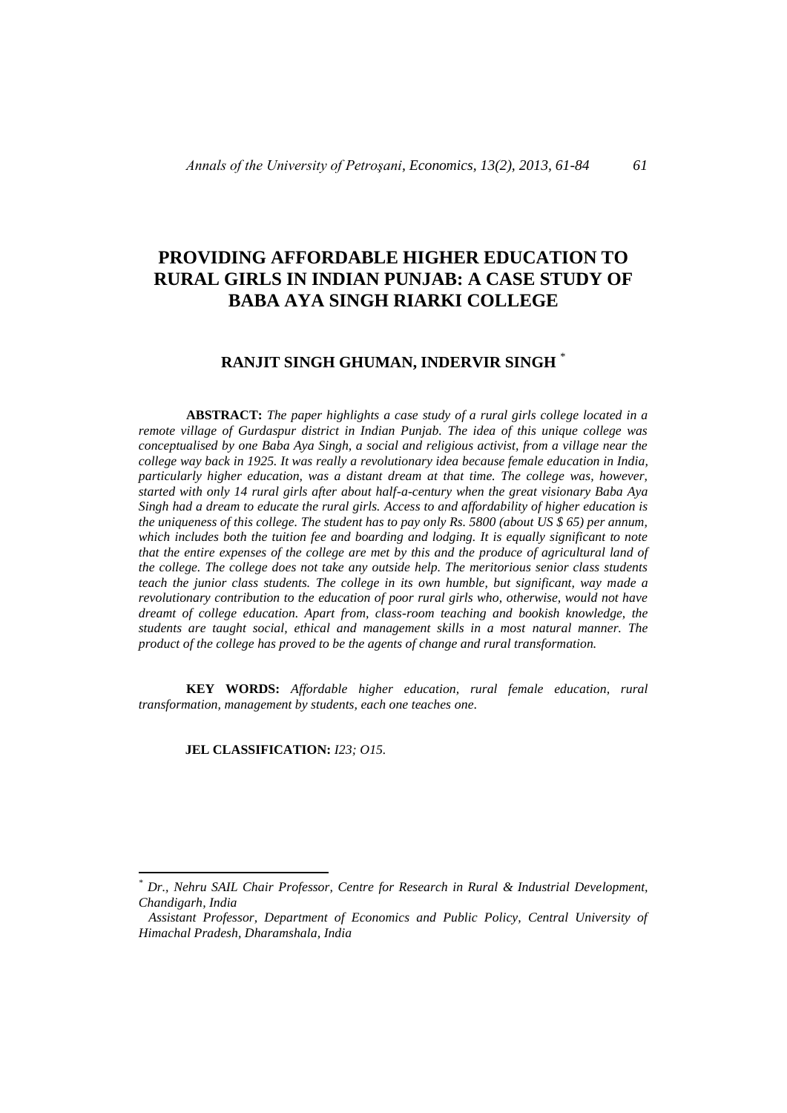# **PROVIDING AFFORDABLE HIGHER EDUCATION TO RURAL GIRLS IN INDIAN PUNJAB: A CASE STUDY OF BABA AYA SINGH RIARKI COLLEGE**

## **RANJIT SINGH GHUMAN, INDERVIR SINGH** \*

**ABSTRACT:** *The paper highlights a case study of a rural girls college located in a remote village of Gurdaspur district in Indian Punjab. The idea of this unique college was conceptualised by one Baba Aya Singh, a social and religious activist, from a village near the college way back in 1925. It was really a revolutionary idea because female education in India, particularly higher education, was a distant dream at that time. The college was, however, started with only 14 rural girls after about half-a-century when the great visionary Baba Aya Singh had a dream to educate the rural girls. Access to and affordability of higher education is the uniqueness of this college. The student has to pay only Rs. 5800 (about US \$ 65) per annum, which includes both the tuition fee and boarding and lodging. It is equally significant to note that the entire expenses of the college are met by this and the produce of agricultural land of the college. The college does not take any outside help. The meritorious senior class students teach the junior class students. The college in its own humble, but significant, way made a revolutionary contribution to the education of poor rural girls who, otherwise, would not have dreamt of college education. Apart from, class-room teaching and bookish knowledge, the students are taught social, ethical and management skills in a most natural manner. The product of the college has proved to be the agents of change and rural transformation.*

**KEY WORDS:** *Affordable higher education, rural female education, rural transformation, management by students, each one teaches one*.

**JEL CLASSIFICATION:** *I23; O15.*

 $\overline{a}$ 

*<sup>\*</sup> Dr., Nehru SAIL Chair Professor, Centre for Research in Rural & Industrial Development, Chandigarh, India*

*Assistant Professor, Department of Economics and Public Policy, Central University of Himachal Pradesh, Dharamshala, India*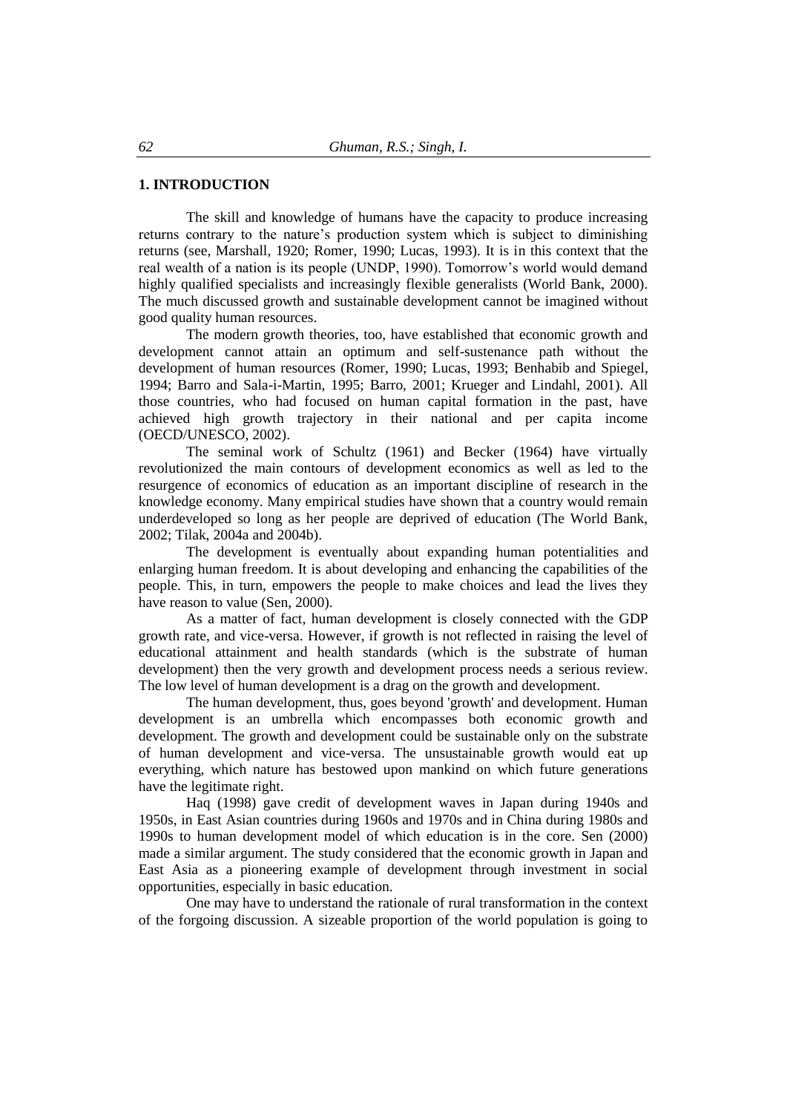## **1. INTRODUCTION**

The skill and knowledge of humans have the capacity to produce increasing returns contrary to the nature's production system which is subject to diminishing returns (see, Marshall, 1920; Romer, 1990; Lucas, 1993). It is in this context that the real wealth of a nation is its people (UNDP, 1990). Tomorrow's world would demand highly qualified specialists and increasingly flexible generalists (World Bank, 2000). The much discussed growth and sustainable development cannot be imagined without good quality human resources.

The modern growth theories, too, have established that economic growth and development cannot attain an optimum and self-sustenance path without the development of human resources (Romer, 1990; Lucas, 1993; Benhabib and Spiegel, 1994; Barro and Sala-i-Martin, 1995; Barro, 2001; Krueger and Lindahl, 2001). All those countries, who had focused on human capital formation in the past, have achieved high growth trajectory in their national and per capita income (OECD/UNESCO, 2002).

The seminal work of Schultz (1961) and Becker (1964) have virtually revolutionized the main contours of development economics as well as led to the resurgence of economics of education as an important discipline of research in the knowledge economy. Many empirical studies have shown that a country would remain underdeveloped so long as her people are deprived of education (The World Bank, 2002; Tilak, 2004a and 2004b).

The development is eventually about expanding human potentialities and enlarging human freedom. It is about developing and enhancing the capabilities of the people. This, in turn, empowers the people to make choices and lead the lives they have reason to value (Sen, 2000).

As a matter of fact, human development is closely connected with the GDP growth rate, and vice-versa. However, if growth is not reflected in raising the level of educational attainment and health standards (which is the substrate of human development) then the very growth and development process needs a serious review. The low level of human development is a drag on the growth and development.

The human development, thus, goes beyond 'growth' and development. Human development is an umbrella which encompasses both economic growth and development. The growth and development could be sustainable only on the substrate of human development and vice-versa. The unsustainable growth would eat up everything, which nature has bestowed upon mankind on which future generations have the legitimate right.

Haq (1998) gave credit of development waves in Japan during 1940s and 1950s, in East Asian countries during 1960s and 1970s and in China during 1980s and 1990s to human development model of which education is in the core. Sen (2000) made a similar argument. The study considered that the economic growth in Japan and East Asia as a pioneering example of development through investment in social opportunities, especially in basic education.

One may have to understand the rationale of rural transformation in the context of the forgoing discussion. A sizeable proportion of the world population is going to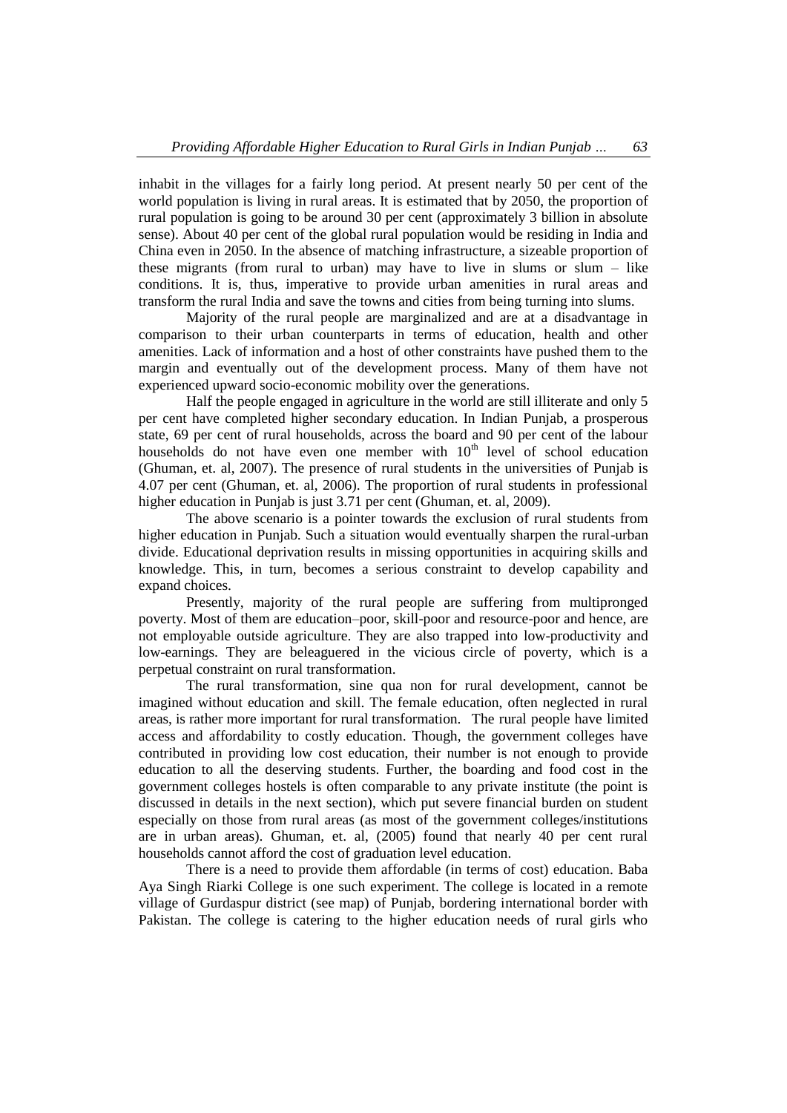inhabit in the villages for a fairly long period. At present nearly 50 per cent of the world population is living in rural areas. It is estimated that by 2050, the proportion of rural population is going to be around 30 per cent (approximately 3 billion in absolute sense). About 40 per cent of the global rural population would be residing in India and China even in 2050. In the absence of matching infrastructure, a sizeable proportion of these migrants (from rural to urban) may have to live in slums or slum  $-$  like conditions. It is, thus, imperative to provide urban amenities in rural areas and transform the rural India and save the towns and cities from being turning into slums.

Majority of the rural people are marginalized and are at a disadvantage in comparison to their urban counterparts in terms of education, health and other amenities. Lack of information and a host of other constraints have pushed them to the margin and eventually out of the development process. Many of them have not experienced upward socio-economic mobility over the generations.

Half the people engaged in agriculture in the world are still illiterate and only 5 per cent have completed higher secondary education. In Indian Punjab, a prosperous state, 69 per cent of rural households, across the board and 90 per cent of the labour households do not have even one member with  $10<sup>th</sup>$  level of school education (Ghuman, et. al, 2007). The presence of rural students in the universities of Punjab is 4.07 per cent (Ghuman, et. al, 2006). The proportion of rural students in professional higher education in Punjab is just 3.71 per cent (Ghuman, et. al, 2009).

The above scenario is a pointer towards the exclusion of rural students from higher education in Punjab. Such a situation would eventually sharpen the rural-urban divide. Educational deprivation results in missing opportunities in acquiring skills and knowledge. This, in turn, becomes a serious constraint to develop capability and expand choices.

Presently, majority of the rural people are suffering from multipronged poverty. Most of them are education–poor, skill-poor and resource-poor and hence, are not employable outside agriculture. They are also trapped into low-productivity and low-earnings. They are beleaguered in the vicious circle of poverty, which is a perpetual constraint on rural transformation.

The rural transformation, sine qua non for rural development, cannot be imagined without education and skill. The female education, often neglected in rural areas, is rather more important for rural transformation. The rural people have limited access and affordability to costly education. Though, the government colleges have contributed in providing low cost education, their number is not enough to provide education to all the deserving students. Further, the boarding and food cost in the government colleges hostels is often comparable to any private institute (the point is discussed in details in the next section), which put severe financial burden on student especially on those from rural areas (as most of the government colleges/institutions are in urban areas). Ghuman, et. al, (2005) found that nearly 40 per cent rural households cannot afford the cost of graduation level education.

There is a need to provide them affordable (in terms of cost) education. Baba Aya Singh Riarki College is one such experiment. The college is located in a remote village of Gurdaspur district (see map) of Punjab, bordering international border with Pakistan. The college is catering to the higher education needs of rural girls who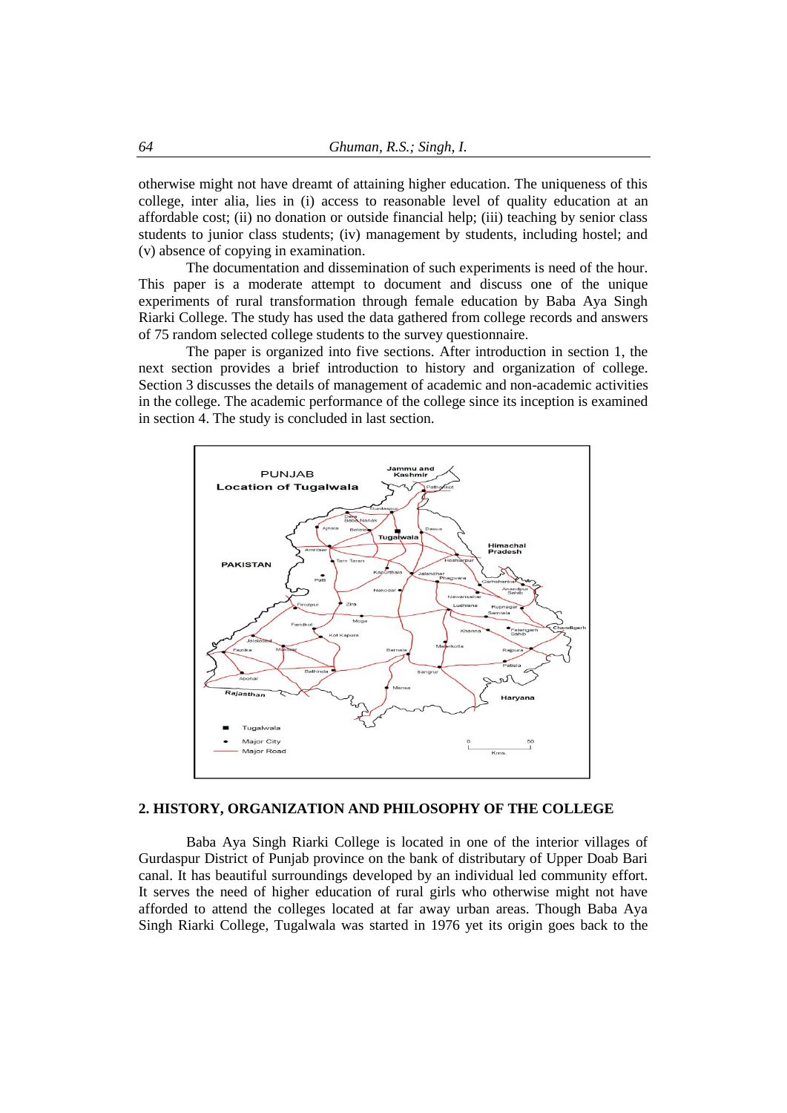otherwise might not have dreamt of attaining higher education. The uniqueness of this college, inter alia, lies in (i) access to reasonable level of quality education at an affordable cost; (ii) no donation or outside financial help; (iii) teaching by senior class students to junior class students; (iv) management by students, including hostel; and (v) absence of copying in examination.

The documentation and dissemination of such experiments is need of the hour. This paper is a moderate attempt to document and discuss one of the unique experiments of rural transformation through female education by Baba Aya Singh Riarki College. The study has used the data gathered from college records and answers of 75 random selected college students to the survey questionnaire.

The paper is organized into five sections. After introduction in section 1, the next section provides a brief introduction to history and organization of college. Section 3 discusses the details of management of academic and non-academic activities in the college. The academic performance of the college since its inception is examined in section 4. The study is concluded in last section.



## **2. HISTORY, ORGANIZATION AND PHILOSOPHY OF THE COLLEGE**

Baba Aya Singh Riarki College is located in one of the interior villages of Gurdaspur District of Punjab province on the bank of distributary of Upper Doab Bari canal. It has beautiful surroundings developed by an individual led community effort. It serves the need of higher education of rural girls who otherwise might not have afforded to attend the colleges located at far away urban areas. Though Baba Aya Singh Riarki College, Tugalwala was started in 1976 yet its origin goes back to the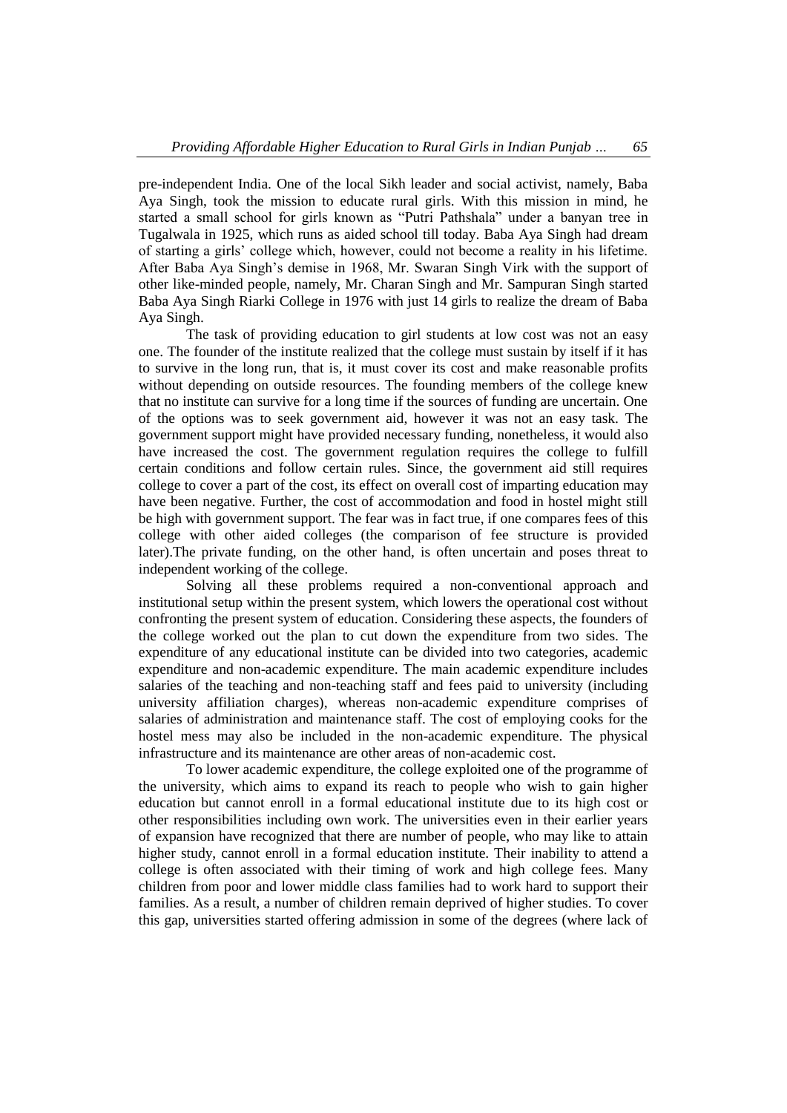pre-independent India. One of the local Sikh leader and social activist, namely, Baba Aya Singh, took the mission to educate rural girls. With this mission in mind, he started a small school for girls known as "Putri Pathshala" under a banyan tree in Tugalwala in 1925, which runs as aided school till today. Baba Aya Singh had dream of starting a girls' college which, however, could not become a reality in his lifetime. After Baba Aya Singh's demise in 1968, Mr. Swaran Singh Virk with the support of other like-minded people, namely, Mr. Charan Singh and Mr. Sampuran Singh started Baba Aya Singh Riarki College in 1976 with just 14 girls to realize the dream of Baba Aya Singh.

The task of providing education to girl students at low cost was not an easy one. The founder of the institute realized that the college must sustain by itself if it has to survive in the long run, that is, it must cover its cost and make reasonable profits without depending on outside resources. The founding members of the college knew that no institute can survive for a long time if the sources of funding are uncertain. One of the options was to seek government aid, however it was not an easy task. The government support might have provided necessary funding, nonetheless, it would also have increased the cost. The government regulation requires the college to fulfill certain conditions and follow certain rules. Since, the government aid still requires college to cover a part of the cost, its effect on overall cost of imparting education may have been negative. Further, the cost of accommodation and food in hostel might still be high with government support. The fear was in fact true, if one compares fees of this college with other aided colleges (the comparison of fee structure is provided later).The private funding, on the other hand, is often uncertain and poses threat to independent working of the college.

Solving all these problems required a non-conventional approach and institutional setup within the present system, which lowers the operational cost without confronting the present system of education. Considering these aspects, the founders of the college worked out the plan to cut down the expenditure from two sides. The expenditure of any educational institute can be divided into two categories, academic expenditure and non-academic expenditure. The main academic expenditure includes salaries of the teaching and non-teaching staff and fees paid to university (including university affiliation charges), whereas non-academic expenditure comprises of salaries of administration and maintenance staff. The cost of employing cooks for the hostel mess may also be included in the non-academic expenditure. The physical infrastructure and its maintenance are other areas of non-academic cost.

To lower academic expenditure, the college exploited one of the programme of the university, which aims to expand its reach to people who wish to gain higher education but cannot enroll in a formal educational institute due to its high cost or other responsibilities including own work. The universities even in their earlier years of expansion have recognized that there are number of people, who may like to attain higher study, cannot enroll in a formal education institute. Their inability to attend a college is often associated with their timing of work and high college fees. Many children from poor and lower middle class families had to work hard to support their families. As a result, a number of children remain deprived of higher studies. To cover this gap, universities started offering admission in some of the degrees (where lack of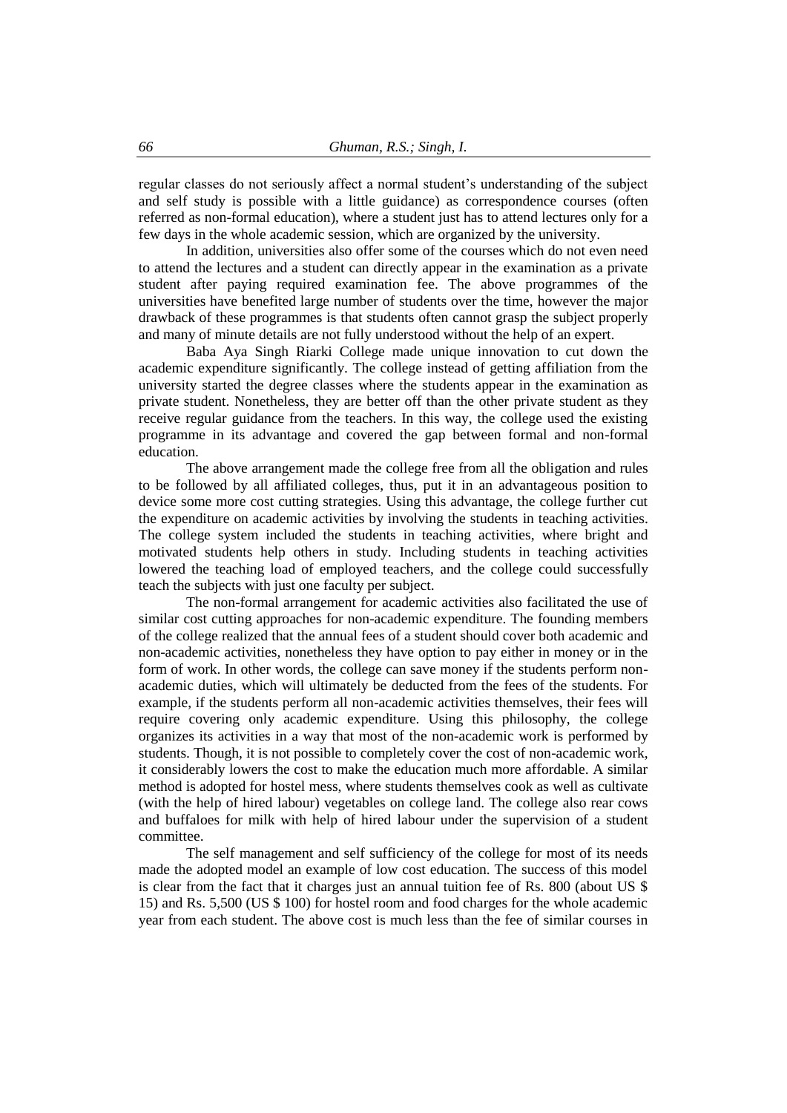regular classes do not seriously affect a normal student's understanding of the subject and self study is possible with a little guidance) as correspondence courses (often referred as non-formal education), where a student just has to attend lectures only for a few days in the whole academic session, which are organized by the university.

In addition, universities also offer some of the courses which do not even need to attend the lectures and a student can directly appear in the examination as a private student after paying required examination fee. The above programmes of the universities have benefited large number of students over the time, however the major drawback of these programmes is that students often cannot grasp the subject properly and many of minute details are not fully understood without the help of an expert.

Baba Aya Singh Riarki College made unique innovation to cut down the academic expenditure significantly. The college instead of getting affiliation from the university started the degree classes where the students appear in the examination as private student. Nonetheless, they are better off than the other private student as they receive regular guidance from the teachers. In this way, the college used the existing programme in its advantage and covered the gap between formal and non-formal education.

The above arrangement made the college free from all the obligation and rules to be followed by all affiliated colleges, thus, put it in an advantageous position to device some more cost cutting strategies. Using this advantage, the college further cut the expenditure on academic activities by involving the students in teaching activities. The college system included the students in teaching activities, where bright and motivated students help others in study. Including students in teaching activities lowered the teaching load of employed teachers, and the college could successfully teach the subjects with just one faculty per subject.

The non-formal arrangement for academic activities also facilitated the use of similar cost cutting approaches for non-academic expenditure. The founding members of the college realized that the annual fees of a student should cover both academic and non-academic activities, nonetheless they have option to pay either in money or in the form of work. In other words, the college can save money if the students perform nonacademic duties, which will ultimately be deducted from the fees of the students. For example, if the students perform all non-academic activities themselves, their fees will require covering only academic expenditure. Using this philosophy, the college organizes its activities in a way that most of the non-academic work is performed by students. Though, it is not possible to completely cover the cost of non-academic work, it considerably lowers the cost to make the education much more affordable. A similar method is adopted for hostel mess, where students themselves cook as well as cultivate (with the help of hired labour) vegetables on college land. The college also rear cows and buffaloes for milk with help of hired labour under the supervision of a student committee.

The self management and self sufficiency of the college for most of its needs made the adopted model an example of low cost education. The success of this model is clear from the fact that it charges just an annual tuition fee of Rs. 800 (about US \$ 15) and Rs. 5,500 (US \$ 100) for hostel room and food charges for the whole academic year from each student. The above cost is much less than the fee of similar courses in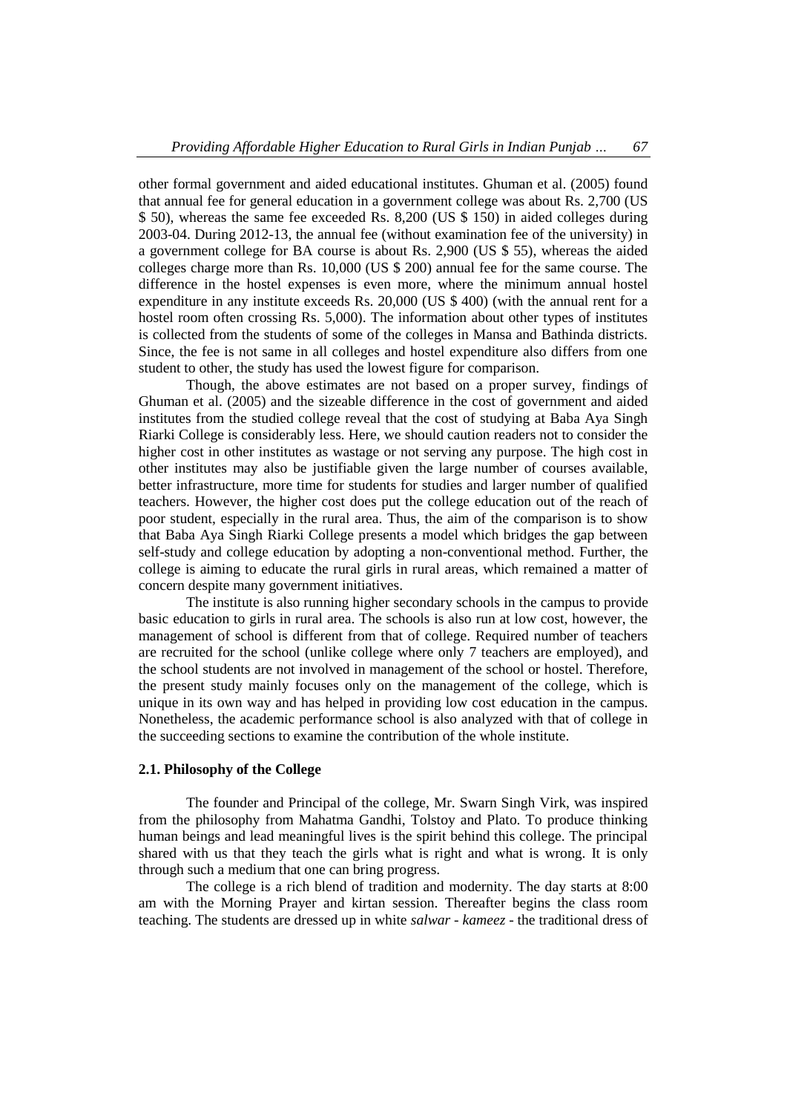other formal government and aided educational institutes. Ghuman et al. (2005) found that annual fee for general education in a government college was about Rs. 2,700 (US \$ 50), whereas the same fee exceeded Rs. 8,200 (US \$ 150) in aided colleges during 2003-04. During 2012-13, the annual fee (without examination fee of the university) in a government college for BA course is about Rs. 2,900 (US \$ 55), whereas the aided colleges charge more than Rs. 10,000 (US \$ 200) annual fee for the same course. The difference in the hostel expenses is even more, where the minimum annual hostel expenditure in any institute exceeds Rs. 20,000 (US \$ 400) (with the annual rent for a hostel room often crossing Rs. 5,000). The information about other types of institutes is collected from the students of some of the colleges in Mansa and Bathinda districts. Since, the fee is not same in all colleges and hostel expenditure also differs from one student to other, the study has used the lowest figure for comparison.

Though, the above estimates are not based on a proper survey, findings of Ghuman et al. (2005) and the sizeable difference in the cost of government and aided institutes from the studied college reveal that the cost of studying at Baba Aya Singh Riarki College is considerably less. Here, we should caution readers not to consider the higher cost in other institutes as wastage or not serving any purpose. The high cost in other institutes may also be justifiable given the large number of courses available, better infrastructure, more time for students for studies and larger number of qualified teachers. However, the higher cost does put the college education out of the reach of poor student, especially in the rural area. Thus, the aim of the comparison is to show that Baba Aya Singh Riarki College presents a model which bridges the gap between self-study and college education by adopting a non-conventional method. Further, the college is aiming to educate the rural girls in rural areas, which remained a matter of concern despite many government initiatives.

The institute is also running higher secondary schools in the campus to provide basic education to girls in rural area. The schools is also run at low cost, however, the management of school is different from that of college. Required number of teachers are recruited for the school (unlike college where only 7 teachers are employed), and the school students are not involved in management of the school or hostel. Therefore, the present study mainly focuses only on the management of the college, which is unique in its own way and has helped in providing low cost education in the campus. Nonetheless, the academic performance school is also analyzed with that of college in the succeeding sections to examine the contribution of the whole institute.

## **2.1. Philosophy of the College**

The founder and Principal of the college, Mr. Swarn Singh Virk, was inspired from the philosophy from Mahatma Gandhi, Tolstoy and Plato. To produce thinking human beings and lead meaningful lives is the spirit behind this college. The principal shared with us that they teach the girls what is right and what is wrong. It is only through such a medium that one can bring progress.

The college is a rich blend of tradition and modernity. The day starts at 8:00 am with the Morning Prayer and kirtan session. Thereafter begins the class room teaching. The students are dressed up in white *salwar - kameez* - the traditional dress of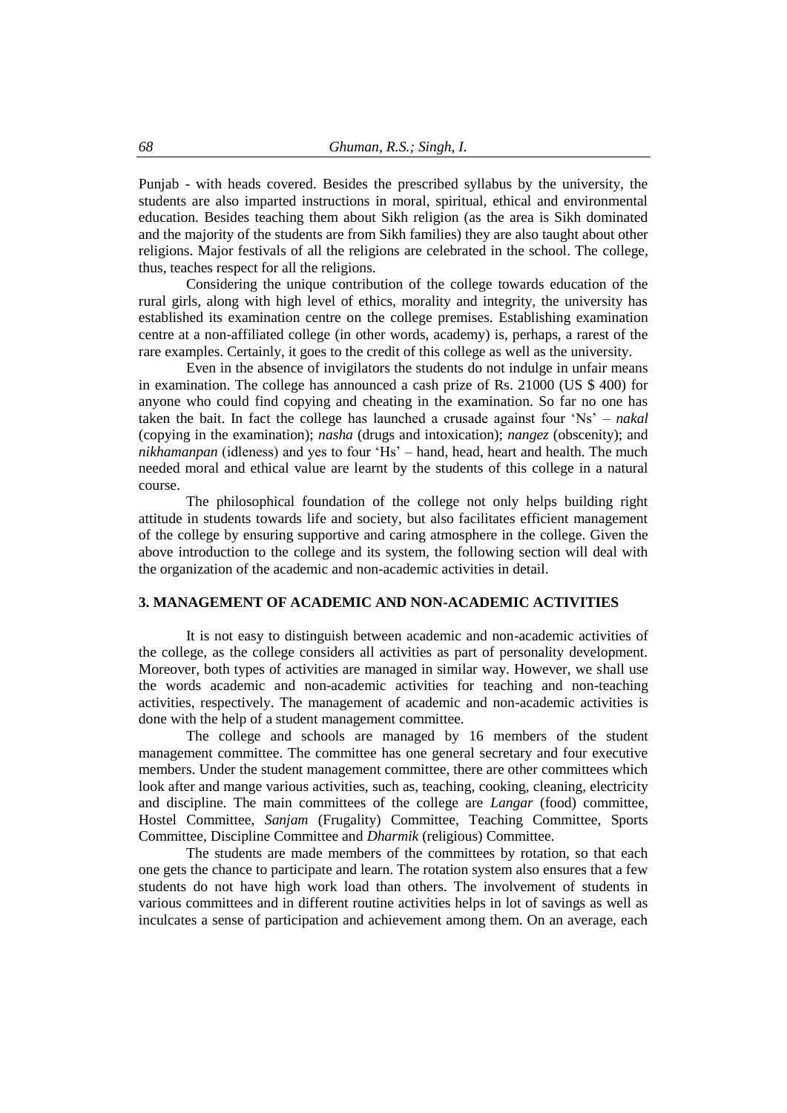Punjab - with heads covered. Besides the prescribed syllabus by the university, the students are also imparted instructions in moral, spiritual, ethical and environmental education. Besides teaching them about Sikh religion (as the area is Sikh dominated and the majority of the students are from Sikh families) they are also taught about other religions. Major festivals of all the religions are celebrated in the school. The college, thus, teaches respect for all the religions.

Considering the unique contribution of the college towards education of the rural girls, along with high level of ethics, morality and integrity, the university has established its examination centre on the college premises. Establishing examination centre at a non-affiliated college (in other words, academy) is, perhaps, a rarest of the rare examples. Certainly, it goes to the credit of this college as well as the university.

Even in the absence of invigilators the students do not indulge in unfair means in examination. The college has announced a cash prize of Rs. 21000 (US \$ 400) for anyone who could find copying and cheating in the examination. So far no one has taken the bait. In fact the college has launched a crusade against four 'Ns' – *nakal*  (copying in the examination); *nasha* (drugs and intoxication); *nangez* (obscenity); and *nikhamanpan* (idleness) and yes to four 'Hs' – hand, head, heart and health. The much needed moral and ethical value are learnt by the students of this college in a natural course.

The philosophical foundation of the college not only helps building right attitude in students towards life and society, but also facilitates efficient management of the college by ensuring supportive and caring atmosphere in the college. Given the above introduction to the college and its system, the following section will deal with the organization of the academic and non-academic activities in detail.

## **3. MANAGEMENT OF ACADEMIC AND NON-ACADEMIC ACTIVITIES**

It is not easy to distinguish between academic and non-academic activities of the college, as the college considers all activities as part of personality development. Moreover, both types of activities are managed in similar way. However, we shall use the words academic and non-academic activities for teaching and non-teaching activities, respectively. The management of academic and non-academic activities is done with the help of a student management committee.

The college and schools are managed by 16 members of the student management committee. The committee has one general secretary and four executive members. Under the student management committee, there are other committees which look after and mange various activities, such as, teaching, cooking, cleaning, electricity and discipline. The main committees of the college are *Langar* (food) committee, Hostel Committee, *Sanjam* (Frugality) Committee, Teaching Committee, Sports Committee, Discipline Committee and *Dharmik* (religious) Committee.

The students are made members of the committees by rotation, so that each one gets the chance to participate and learn. The rotation system also ensures that a few students do not have high work load than others. The involvement of students in various committees and in different routine activities helps in lot of savings as well as inculcates a sense of participation and achievement among them. On an average, each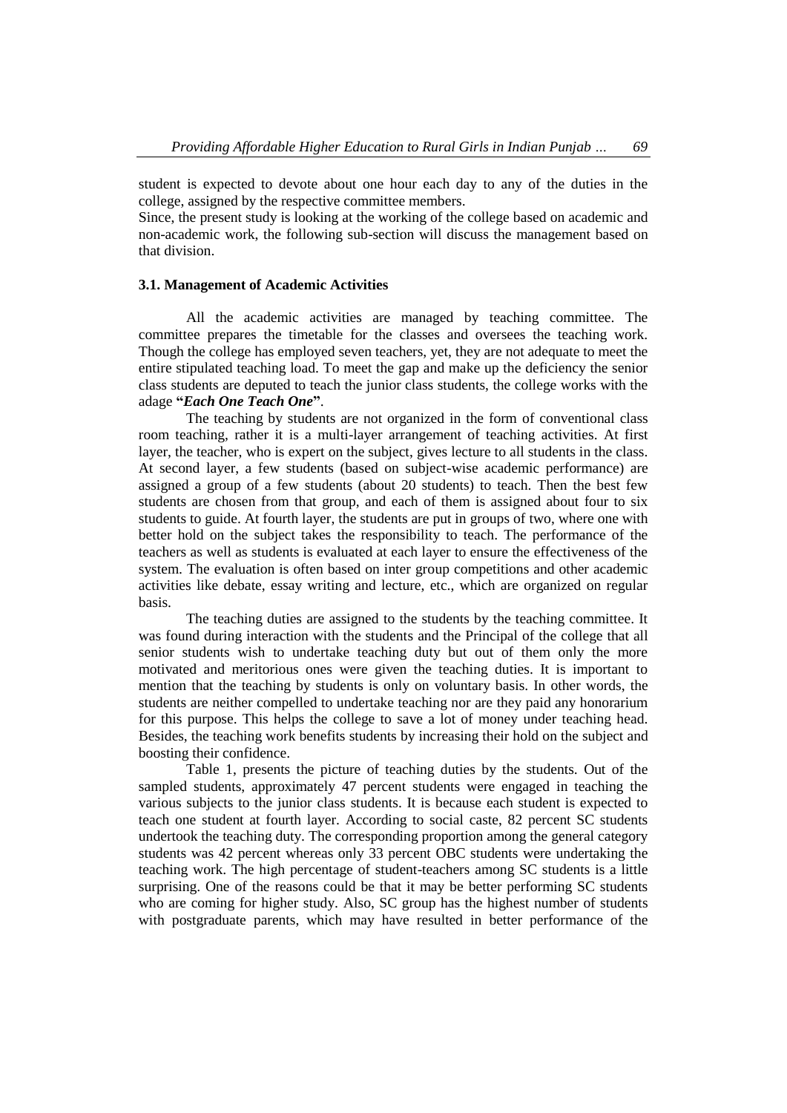student is expected to devote about one hour each day to any of the duties in the college, assigned by the respective committee members.

Since, the present study is looking at the working of the college based on academic and non-academic work, the following sub-section will discuss the management based on that division.

## **3.1. Management of Academic Activities**

All the academic activities are managed by teaching committee. The committee prepares the timetable for the classes and oversees the teaching work. Though the college has employed seven teachers, yet, they are not adequate to meet the entire stipulated teaching load. To meet the gap and make up the deficiency the senior class students are deputed to teach the junior class students, the college works with the adage **"***Each One Teach One***"**.

The teaching by students are not organized in the form of conventional class room teaching, rather it is a multi-layer arrangement of teaching activities. At first layer, the teacher, who is expert on the subject, gives lecture to all students in the class. At second layer, a few students (based on subject-wise academic performance) are assigned a group of a few students (about 20 students) to teach. Then the best few students are chosen from that group, and each of them is assigned about four to six students to guide. At fourth layer, the students are put in groups of two, where one with better hold on the subject takes the responsibility to teach. The performance of the teachers as well as students is evaluated at each layer to ensure the effectiveness of the system. The evaluation is often based on inter group competitions and other academic activities like debate, essay writing and lecture, etc., which are organized on regular basis.

The teaching duties are assigned to the students by the teaching committee. It was found during interaction with the students and the Principal of the college that all senior students wish to undertake teaching duty but out of them only the more motivated and meritorious ones were given the teaching duties. It is important to mention that the teaching by students is only on voluntary basis. In other words, the students are neither compelled to undertake teaching nor are they paid any honorarium for this purpose. This helps the college to save a lot of money under teaching head. Besides, the teaching work benefits students by increasing their hold on the subject and boosting their confidence.

Table 1, presents the picture of teaching duties by the students. Out of the sampled students, approximately 47 percent students were engaged in teaching the various subjects to the junior class students. It is because each student is expected to teach one student at fourth layer. According to social caste, 82 percent SC students undertook the teaching duty. The corresponding proportion among the general category students was 42 percent whereas only 33 percent OBC students were undertaking the teaching work. The high percentage of student-teachers among SC students is a little surprising. One of the reasons could be that it may be better performing SC students who are coming for higher study. Also, SC group has the highest number of students with postgraduate parents, which may have resulted in better performance of the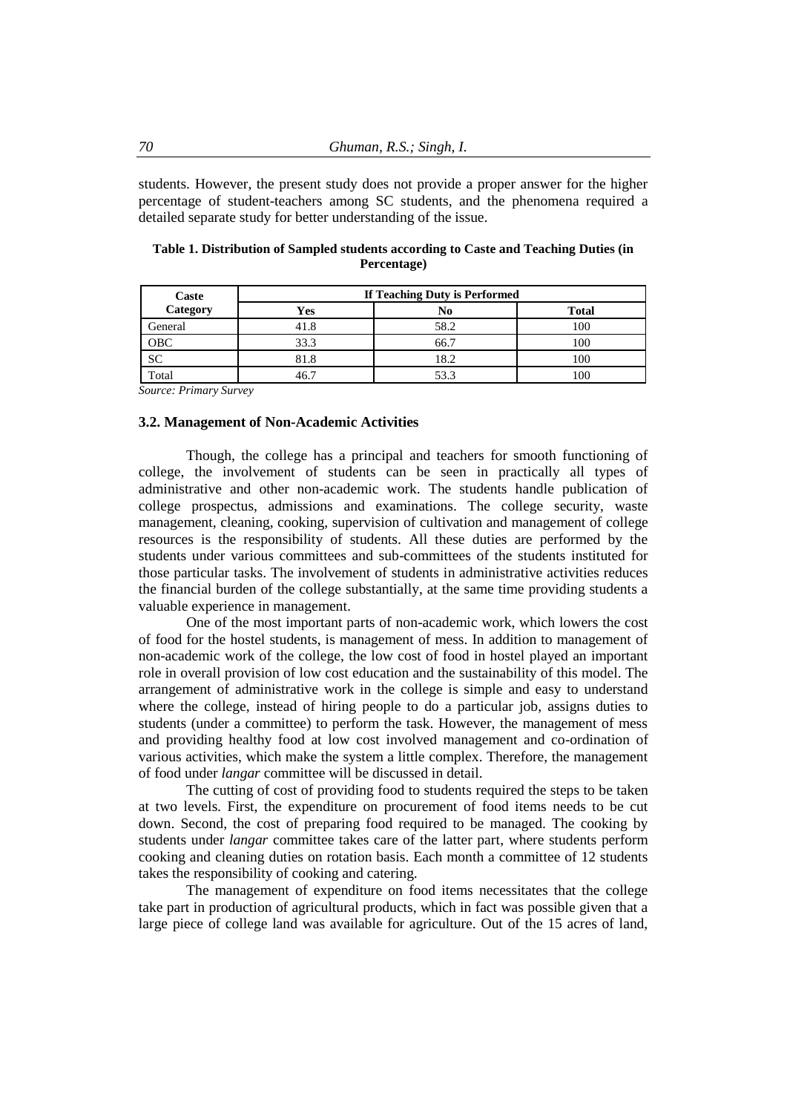students. However, the present study does not provide a proper answer for the higher percentage of student-teachers among SC students, and the phenomena required a detailed separate study for better understanding of the issue.

| Caste      | If Teaching Duty is Performed |      |              |  |  |  |
|------------|-------------------------------|------|--------------|--|--|--|
| Category   | Yes                           | No   | <b>Total</b> |  |  |  |
| General    | 41.8                          | 58.2 | 100          |  |  |  |
| <b>OBC</b> | 33.3                          | 66.7 | 100          |  |  |  |
| <b>SC</b>  | 81.8                          | 18.2 | 100          |  |  |  |
| Total      |                               | 53.3 | 100          |  |  |  |

|  | Table 1. Distribution of Sampled students according to Caste and Teaching Duties (in |  |  |
|--|--------------------------------------------------------------------------------------|--|--|
|  | Percentage)                                                                          |  |  |

*Source: Primary Survey*

#### **3.2. Management of Non-Academic Activities**

Though, the college has a principal and teachers for smooth functioning of college, the involvement of students can be seen in practically all types of administrative and other non-academic work. The students handle publication of college prospectus, admissions and examinations. The college security, waste management, cleaning, cooking, supervision of cultivation and management of college resources is the responsibility of students. All these duties are performed by the students under various committees and sub-committees of the students instituted for those particular tasks. The involvement of students in administrative activities reduces the financial burden of the college substantially, at the same time providing students a valuable experience in management.

One of the most important parts of non-academic work, which lowers the cost of food for the hostel students, is management of mess. In addition to management of non-academic work of the college, the low cost of food in hostel played an important role in overall provision of low cost education and the sustainability of this model. The arrangement of administrative work in the college is simple and easy to understand where the college, instead of hiring people to do a particular job, assigns duties to students (under a committee) to perform the task. However, the management of mess and providing healthy food at low cost involved management and co-ordination of various activities, which make the system a little complex. Therefore, the management of food under *langar* committee will be discussed in detail.

The cutting of cost of providing food to students required the steps to be taken at two levels. First, the expenditure on procurement of food items needs to be cut down. Second, the cost of preparing food required to be managed. The cooking by students under *langar* committee takes care of the latter part, where students perform cooking and cleaning duties on rotation basis. Each month a committee of 12 students takes the responsibility of cooking and catering.

The management of expenditure on food items necessitates that the college take part in production of agricultural products, which in fact was possible given that a large piece of college land was available for agriculture. Out of the 15 acres of land,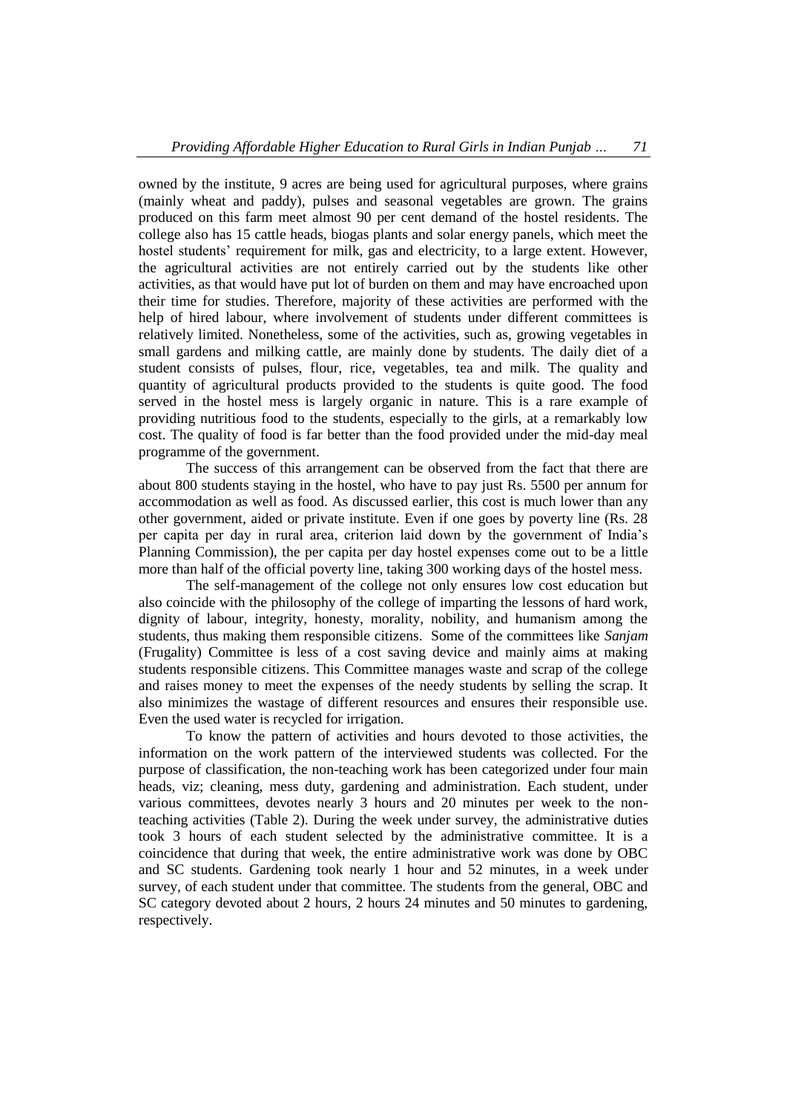owned by the institute, 9 acres are being used for agricultural purposes, where grains (mainly wheat and paddy), pulses and seasonal vegetables are grown. The grains produced on this farm meet almost 90 per cent demand of the hostel residents. The college also has 15 cattle heads, biogas plants and solar energy panels, which meet the hostel students' requirement for milk, gas and electricity, to a large extent. However, the agricultural activities are not entirely carried out by the students like other activities, as that would have put lot of burden on them and may have encroached upon their time for studies. Therefore, majority of these activities are performed with the help of hired labour, where involvement of students under different committees is relatively limited. Nonetheless, some of the activities, such as, growing vegetables in small gardens and milking cattle, are mainly done by students. The daily diet of a student consists of pulses, flour, rice, vegetables, tea and milk. The quality and quantity of agricultural products provided to the students is quite good. The food served in the hostel mess is largely organic in nature. This is a rare example of providing nutritious food to the students, especially to the girls, at a remarkably low cost. The quality of food is far better than the food provided under the mid-day meal programme of the government.

The success of this arrangement can be observed from the fact that there are about 800 students staying in the hostel, who have to pay just Rs. 5500 per annum for accommodation as well as food. As discussed earlier, this cost is much lower than any other government, aided or private institute. Even if one goes by poverty line (Rs. 28 per capita per day in rural area, criterion laid down by the government of India's Planning Commission), the per capita per day hostel expenses come out to be a little more than half of the official poverty line, taking 300 working days of the hostel mess.

The self-management of the college not only ensures low cost education but also coincide with the philosophy of the college of imparting the lessons of hard work, dignity of labour, integrity, honesty, morality, nobility, and humanism among the students, thus making them responsible citizens. Some of the committees like *Sanjam* (Frugality) Committee is less of a cost saving device and mainly aims at making students responsible citizens. This Committee manages waste and scrap of the college and raises money to meet the expenses of the needy students by selling the scrap. It also minimizes the wastage of different resources and ensures their responsible use. Even the used water is recycled for irrigation.

To know the pattern of activities and hours devoted to those activities, the information on the work pattern of the interviewed students was collected. For the purpose of classification, the non-teaching work has been categorized under four main heads, viz; cleaning, mess duty, gardening and administration. Each student, under various committees, devotes nearly 3 hours and 20 minutes per week to the nonteaching activities (Table 2). During the week under survey, the administrative duties took 3 hours of each student selected by the administrative committee. It is a coincidence that during that week, the entire administrative work was done by OBC and SC students. Gardening took nearly 1 hour and 52 minutes, in a week under survey, of each student under that committee. The students from the general, OBC and SC category devoted about 2 hours, 2 hours 24 minutes and 50 minutes to gardening, respectively.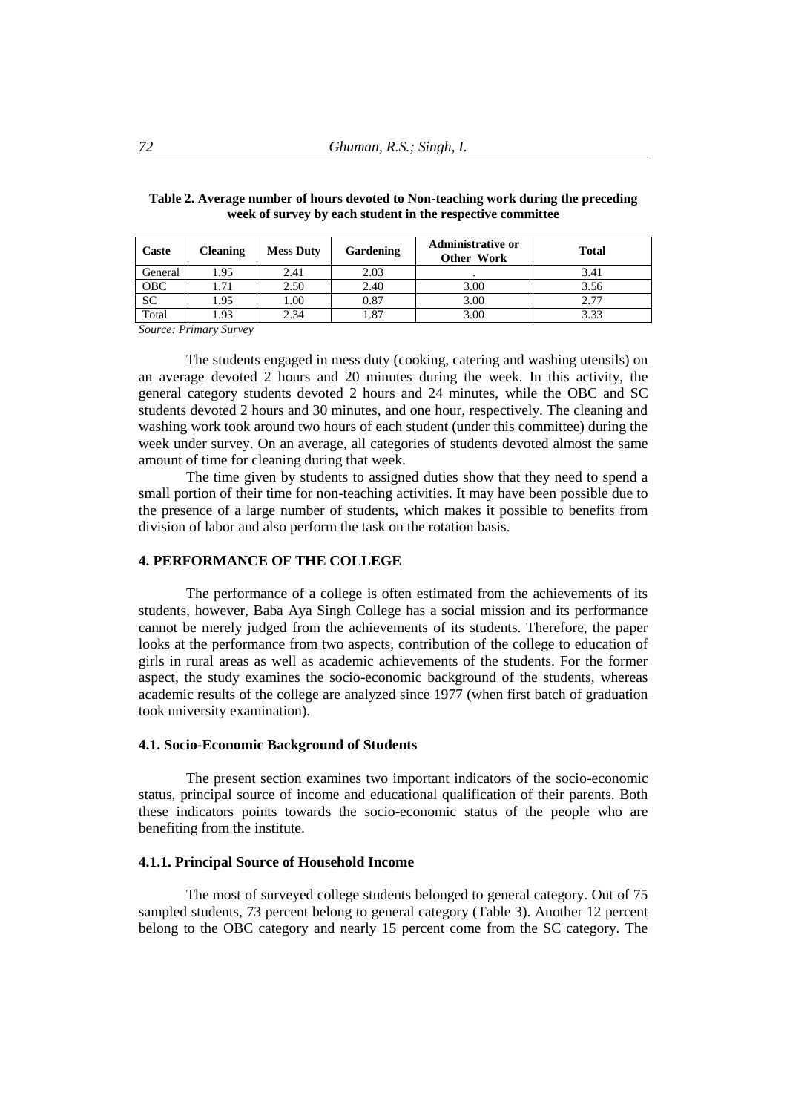| Caste   | <b>Cleaning</b> | <b>Mess Duty</b> | Gardening | <b>Administrative or</b><br>Other Work | <b>Total</b> |
|---------|-----------------|------------------|-----------|----------------------------------------|--------------|
| General | 1.95            | 2.41             | 2.03      |                                        | 3.41         |
| OBC     | 1.71            | 2.50             | 2.40      | 3.00                                   | 3.56         |
| SC      | 1.95            | 1.00             | 0.87      | 3.00                                   | 2.77         |
| Total   | .93             | 2.34             | .87       | 3.00                                   | 3.33         |

**Table 2. Average number of hours devoted to Non-teaching work during the preceding week of survey by each student in the respective committee**

*Source: Primary Survey*

The students engaged in mess duty (cooking, catering and washing utensils) on an average devoted 2 hours and 20 minutes during the week. In this activity, the general category students devoted 2 hours and 24 minutes, while the OBC and SC students devoted 2 hours and 30 minutes, and one hour, respectively. The cleaning and washing work took around two hours of each student (under this committee) during the week under survey. On an average, all categories of students devoted almost the same amount of time for cleaning during that week.

The time given by students to assigned duties show that they need to spend a small portion of their time for non-teaching activities. It may have been possible due to the presence of a large number of students, which makes it possible to benefits from division of labor and also perform the task on the rotation basis.

## **4. PERFORMANCE OF THE COLLEGE**

The performance of a college is often estimated from the achievements of its students, however, Baba Aya Singh College has a social mission and its performance cannot be merely judged from the achievements of its students. Therefore, the paper looks at the performance from two aspects, contribution of the college to education of girls in rural areas as well as academic achievements of the students. For the former aspect, the study examines the socio-economic background of the students, whereas academic results of the college are analyzed since 1977 (when first batch of graduation took university examination).

#### **4.1. Socio-Economic Background of Students**

The present section examines two important indicators of the socio-economic status, principal source of income and educational qualification of their parents. Both these indicators points towards the socio-economic status of the people who are benefiting from the institute.

## **4.1.1. Principal Source of Household Income**

The most of surveyed college students belonged to general category. Out of 75 sampled students, 73 percent belong to general category (Table 3). Another 12 percent belong to the OBC category and nearly 15 percent come from the SC category. The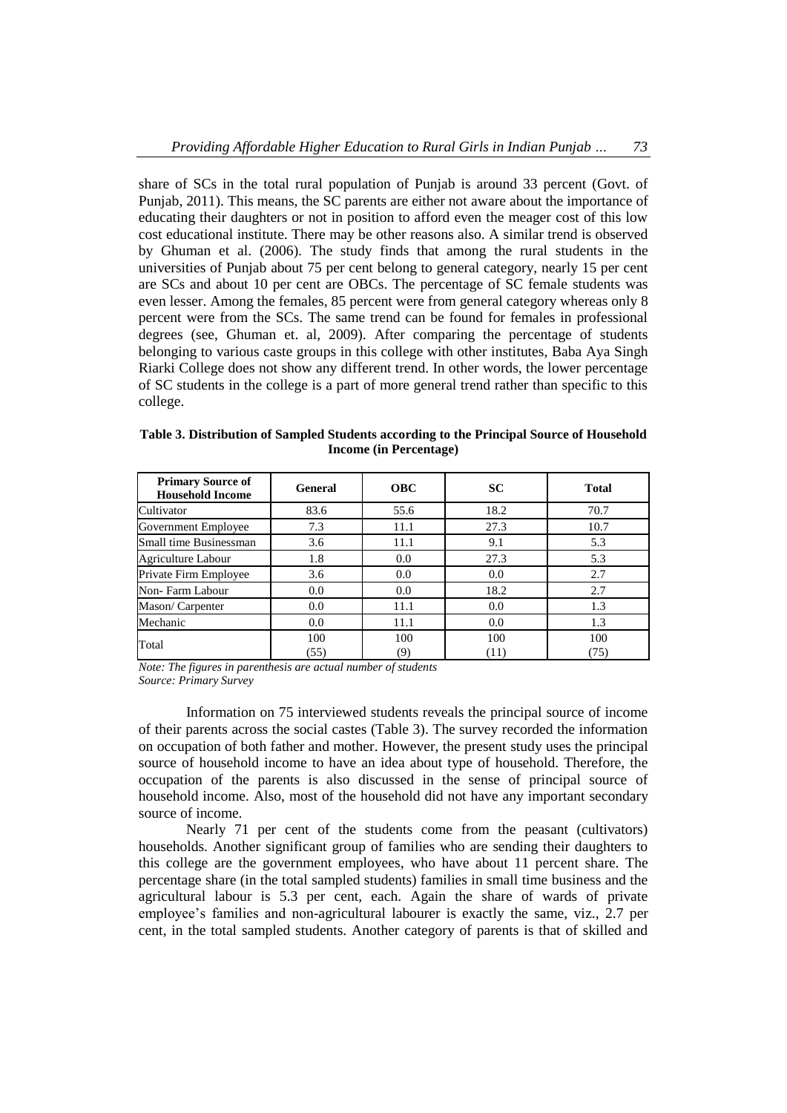share of SCs in the total rural population of Punjab is around 33 percent (Govt. of Punjab, 2011). This means, the SC parents are either not aware about the importance of educating their daughters or not in position to afford even the meager cost of this low cost educational institute. There may be other reasons also. A similar trend is observed by Ghuman et al. (2006). The study finds that among the rural students in the universities of Punjab about 75 per cent belong to general category, nearly 15 per cent are SCs and about 10 per cent are OBCs. The percentage of SC female students was even lesser. Among the females, 85 percent were from general category whereas only 8 percent were from the SCs. The same trend can be found for females in professional degrees (see, Ghuman et. al, 2009). After comparing the percentage of students belonging to various caste groups in this college with other institutes, Baba Aya Singh Riarki College does not show any different trend. In other words, the lower percentage of SC students in the college is a part of more general trend rather than specific to this college.

| <b>Primary Source of</b><br><b>Household Income</b> | General     | <b>OBC</b> | <b>SC</b>   | <b>Total</b> |
|-----------------------------------------------------|-------------|------------|-------------|--------------|
| Cultivator                                          | 83.6        | 55.6       | 18.2        | 70.7         |
| Government Employee                                 | 7.3         | 11.1       | 27.3        | 10.7         |
| Small time Businessman                              | 3.6         | 11.1       | 9.1         | 5.3          |
| Agriculture Labour                                  | 1.8         | 0.0        | 27.3        | 5.3          |
| Private Firm Employee                               | 3.6         | 0.0        | 0.0         | 2.7          |
| Non-Farm Labour                                     | 0.0         | 0.0        | 18.2        | 2.7          |
| Mason/Carpenter                                     | 0.0         | 11.1       | 0.0         | 1.3          |
| Mechanic                                            | 0.0         | 11.1       | 0.0         | 1.3          |
| Total                                               | 100<br>(55) | 100<br>(9) | 100<br>(11) | 100<br>(75)  |

**Table 3. Distribution of Sampled Students according to the Principal Source of Household Income (in Percentage)**

*Note: The figures in parenthesis are actual number of students Source: Primary Survey*

Information on 75 interviewed students reveals the principal source of income of their parents across the social castes (Table 3). The survey recorded the information on occupation of both father and mother. However, the present study uses the principal source of household income to have an idea about type of household. Therefore, the occupation of the parents is also discussed in the sense of principal source of household income. Also, most of the household did not have any important secondary source of income.

Nearly 71 per cent of the students come from the peasant (cultivators) households. Another significant group of families who are sending their daughters to this college are the government employees, who have about 11 percent share. The percentage share (in the total sampled students) families in small time business and the agricultural labour is 5.3 per cent, each. Again the share of wards of private employee's families and non-agricultural labourer is exactly the same, viz., 2.7 per cent, in the total sampled students. Another category of parents is that of skilled and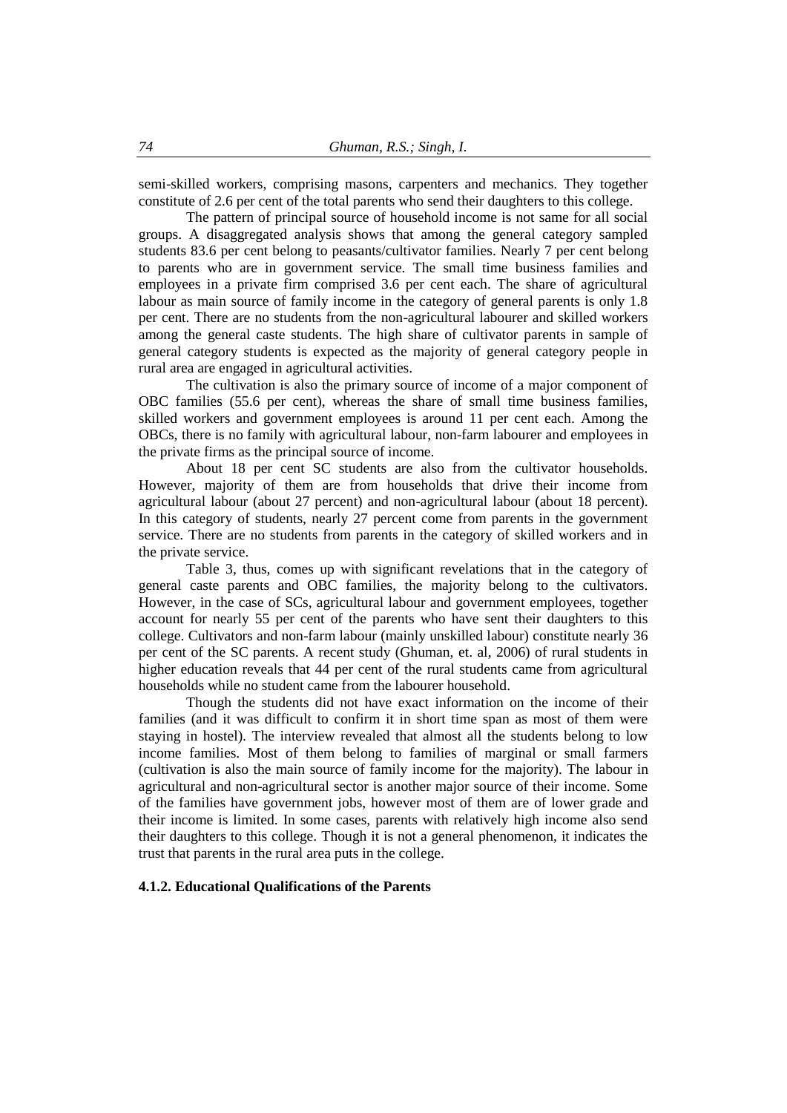semi-skilled workers, comprising masons, carpenters and mechanics. They together constitute of 2.6 per cent of the total parents who send their daughters to this college.

The pattern of principal source of household income is not same for all social groups. A disaggregated analysis shows that among the general category sampled students 83.6 per cent belong to peasants/cultivator families. Nearly 7 per cent belong to parents who are in government service. The small time business families and employees in a private firm comprised 3.6 per cent each. The share of agricultural labour as main source of family income in the category of general parents is only 1.8 per cent. There are no students from the non-agricultural labourer and skilled workers among the general caste students. The high share of cultivator parents in sample of general category students is expected as the majority of general category people in rural area are engaged in agricultural activities.

The cultivation is also the primary source of income of a major component of OBC families (55.6 per cent), whereas the share of small time business families, skilled workers and government employees is around 11 per cent each. Among the OBCs, there is no family with agricultural labour, non-farm labourer and employees in the private firms as the principal source of income.

About 18 per cent SC students are also from the cultivator households. However, majority of them are from households that drive their income from agricultural labour (about 27 percent) and non-agricultural labour (about 18 percent). In this category of students, nearly 27 percent come from parents in the government service. There are no students from parents in the category of skilled workers and in the private service.

Table 3, thus, comes up with significant revelations that in the category of general caste parents and OBC families, the majority belong to the cultivators. However, in the case of SCs, agricultural labour and government employees, together account for nearly 55 per cent of the parents who have sent their daughters to this college. Cultivators and non-farm labour (mainly unskilled labour) constitute nearly 36 per cent of the SC parents. A recent study (Ghuman, et. al, 2006) of rural students in higher education reveals that 44 per cent of the rural students came from agricultural households while no student came from the labourer household.

Though the students did not have exact information on the income of their families (and it was difficult to confirm it in short time span as most of them were staying in hostel). The interview revealed that almost all the students belong to low income families. Most of them belong to families of marginal or small farmers (cultivation is also the main source of family income for the majority). The labour in agricultural and non-agricultural sector is another major source of their income. Some of the families have government jobs, however most of them are of lower grade and their income is limited. In some cases, parents with relatively high income also send their daughters to this college. Though it is not a general phenomenon, it indicates the trust that parents in the rural area puts in the college.

#### **4.1.2. Educational Qualifications of the Parents**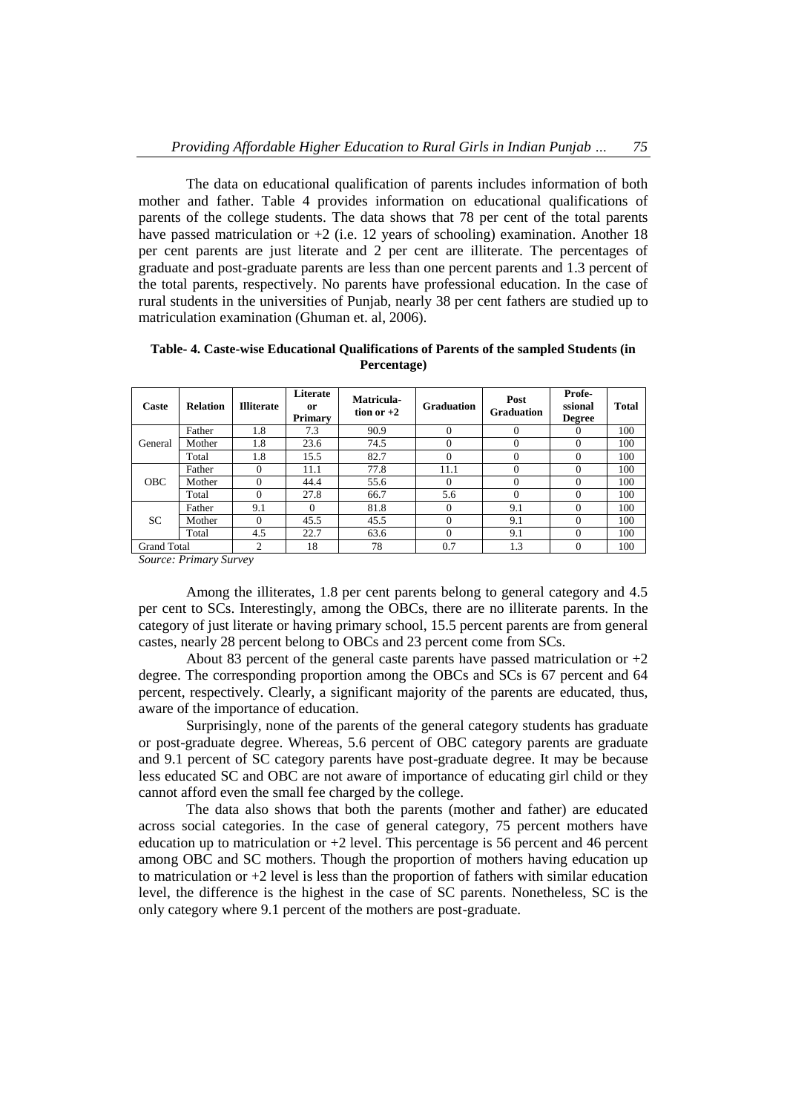The data on educational qualification of parents includes information of both mother and father. Table 4 provides information on educational qualifications of parents of the college students. The data shows that 78 per cent of the total parents have passed matriculation or  $+2$  (i.e. 12 years of schooling) examination. Another 18 per cent parents are just literate and 2 per cent are illiterate. The percentages of graduate and post-graduate parents are less than one percent parents and 1.3 percent of the total parents, respectively. No parents have professional education. In the case of rural students in the universities of Punjab, nearly 38 per cent fathers are studied up to matriculation examination (Ghuman et. al, 2006).

| Caste              | <b>Relation</b> | <b>Illiterate</b> | Literate<br><sub>or</sub><br><b>Primary</b> | Matricula-<br>tion or $+2$ | <b>Graduation</b> | Post<br><b>Graduation</b> | Profe-<br>ssional<br><b>Degree</b> | <b>Total</b> |
|--------------------|-----------------|-------------------|---------------------------------------------|----------------------------|-------------------|---------------------------|------------------------------------|--------------|
|                    | Father          | 1.8               | 7.3                                         | 90.9                       | $\Omega$          | $\Omega$                  | $\theta$                           | 100          |
| General            | Mother          | 1.8               | 23.6                                        | 74.5                       | $\Omega$          | $\Omega$                  | $\Omega$                           | 100          |
|                    | Total           | 1.8               | 15.5                                        | 82.7                       | $\Omega$          | 0                         | $\Omega$                           | 100          |
|                    | Father          | $\Omega$          | 11.1                                        | 77.8                       | 11.1              | $\Omega$                  | 0                                  | 100          |
| <b>OBC</b>         | Mother          | $\Omega$          | 44.4                                        | 55.6                       | $\Omega$          | $\Omega$                  | 0                                  | 100          |
|                    | Total           | $\Omega$          | 27.8                                        | 66.7                       | 5.6               | $\Omega$                  | 0                                  | 100          |
|                    | Father          | 9.1               | $\Omega$                                    | 81.8                       | $\mathbf{0}$      | 9.1                       | $\Omega$                           | 100          |
| <b>SC</b>          | Mother          | $\Omega$          | 45.5                                        | 45.5                       | $\mathbf{0}$      | 9.1                       | $\Omega$                           | 100          |
|                    | Total           | 4.5               | 22.7                                        | 63.6                       | $\Omega$          | 9.1                       | $\Omega$                           | 100          |
| <b>Grand Total</b> |                 | 2                 | 18                                          | 78                         | 0.7               | 1.3                       | $\Omega$                           | 100          |

**Table- 4. Caste-wise Educational Qualifications of Parents of the sampled Students (in Percentage)**

*Source: Primary Survey*

Among the illiterates, 1.8 per cent parents belong to general category and 4.5 per cent to SCs. Interestingly, among the OBCs, there are no illiterate parents. In the category of just literate or having primary school, 15.5 percent parents are from general castes, nearly 28 percent belong to OBCs and 23 percent come from SCs.

About 83 percent of the general caste parents have passed matriculation or  $+2$ degree. The corresponding proportion among the OBCs and SCs is 67 percent and 64 percent, respectively. Clearly, a significant majority of the parents are educated, thus, aware of the importance of education.

Surprisingly, none of the parents of the general category students has graduate or post-graduate degree. Whereas, 5.6 percent of OBC category parents are graduate and 9.1 percent of SC category parents have post-graduate degree. It may be because less educated SC and OBC are not aware of importance of educating girl child or they cannot afford even the small fee charged by the college.

The data also shows that both the parents (mother and father) are educated across social categories. In the case of general category, 75 percent mothers have education up to matriculation or  $+2$  level. This percentage is 56 percent and 46 percent among OBC and SC mothers. Though the proportion of mothers having education up to matriculation or +2 level is less than the proportion of fathers with similar education level, the difference is the highest in the case of SC parents. Nonetheless, SC is the only category where 9.1 percent of the mothers are post-graduate.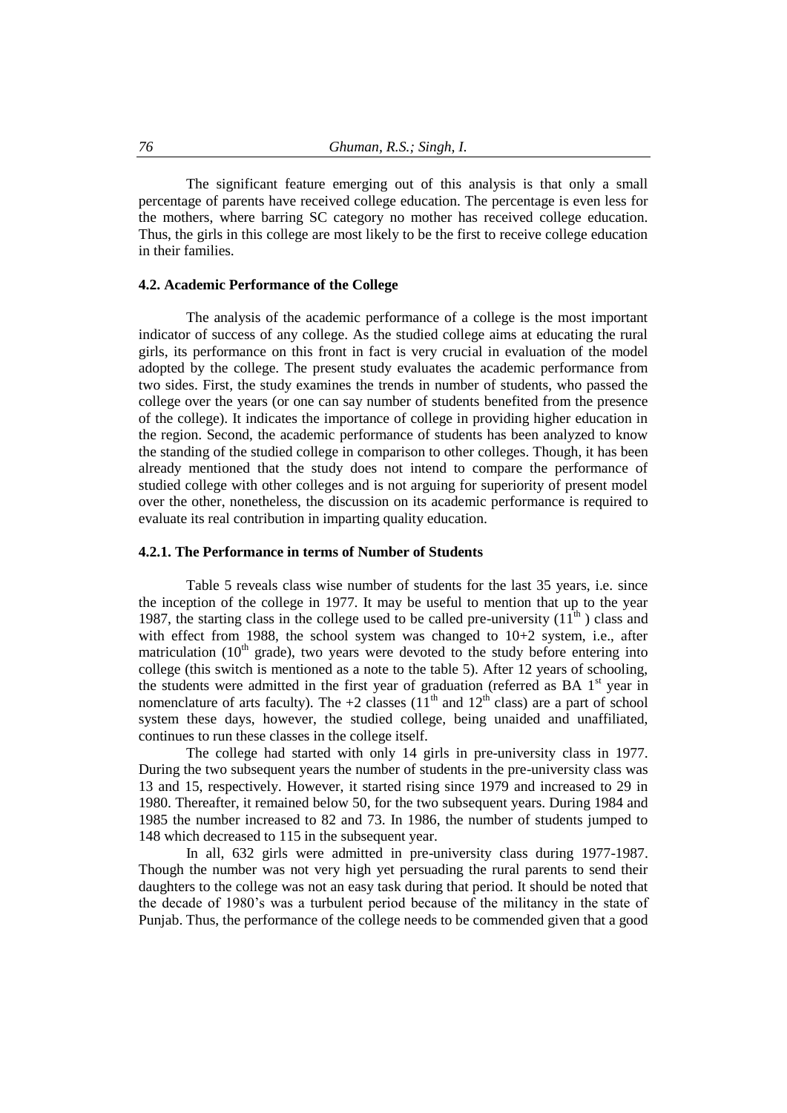The significant feature emerging out of this analysis is that only a small percentage of parents have received college education. The percentage is even less for the mothers, where barring SC category no mother has received college education. Thus, the girls in this college are most likely to be the first to receive college education in their families.

## **4.2. Academic Performance of the College**

The analysis of the academic performance of a college is the most important indicator of success of any college. As the studied college aims at educating the rural girls, its performance on this front in fact is very crucial in evaluation of the model adopted by the college. The present study evaluates the academic performance from two sides. First, the study examines the trends in number of students, who passed the college over the years (or one can say number of students benefited from the presence of the college). It indicates the importance of college in providing higher education in the region. Second, the academic performance of students has been analyzed to know the standing of the studied college in comparison to other colleges. Though, it has been already mentioned that the study does not intend to compare the performance of studied college with other colleges and is not arguing for superiority of present model over the other, nonetheless, the discussion on its academic performance is required to evaluate its real contribution in imparting quality education.

#### **4.2.1. The Performance in terms of Number of Students**

Table 5 reveals class wise number of students for the last 35 years, i.e. since the inception of the college in 1977. It may be useful to mention that up to the year 1987, the starting class in the college used to be called pre-university  $(11<sup>th</sup>)$  class and with effect from 1988, the school system was changed to 10+2 system, i.e., after matriculation ( $10<sup>th</sup>$  grade), two years were devoted to the study before entering into college (this switch is mentioned as a note to the table 5). After 12 years of schooling, the students were admitted in the first year of graduation (referred as BA  $1<sup>st</sup>$  year in nomenclature of arts faculty). The +2 classes  $(11<sup>th</sup>$  and  $12<sup>th</sup>$  class) are a part of school system these days, however, the studied college, being unaided and unaffiliated, continues to run these classes in the college itself.

The college had started with only 14 girls in pre-university class in 1977. During the two subsequent years the number of students in the pre-university class was 13 and 15, respectively. However, it started rising since 1979 and increased to 29 in 1980. Thereafter, it remained below 50, for the two subsequent years. During 1984 and 1985 the number increased to 82 and 73. In 1986, the number of students jumped to 148 which decreased to 115 in the subsequent year.

In all, 632 girls were admitted in pre-university class during 1977-1987. Though the number was not very high yet persuading the rural parents to send their daughters to the college was not an easy task during that period. It should be noted that the decade of 1980's was a turbulent period because of the militancy in the state of Punjab. Thus, the performance of the college needs to be commended given that a good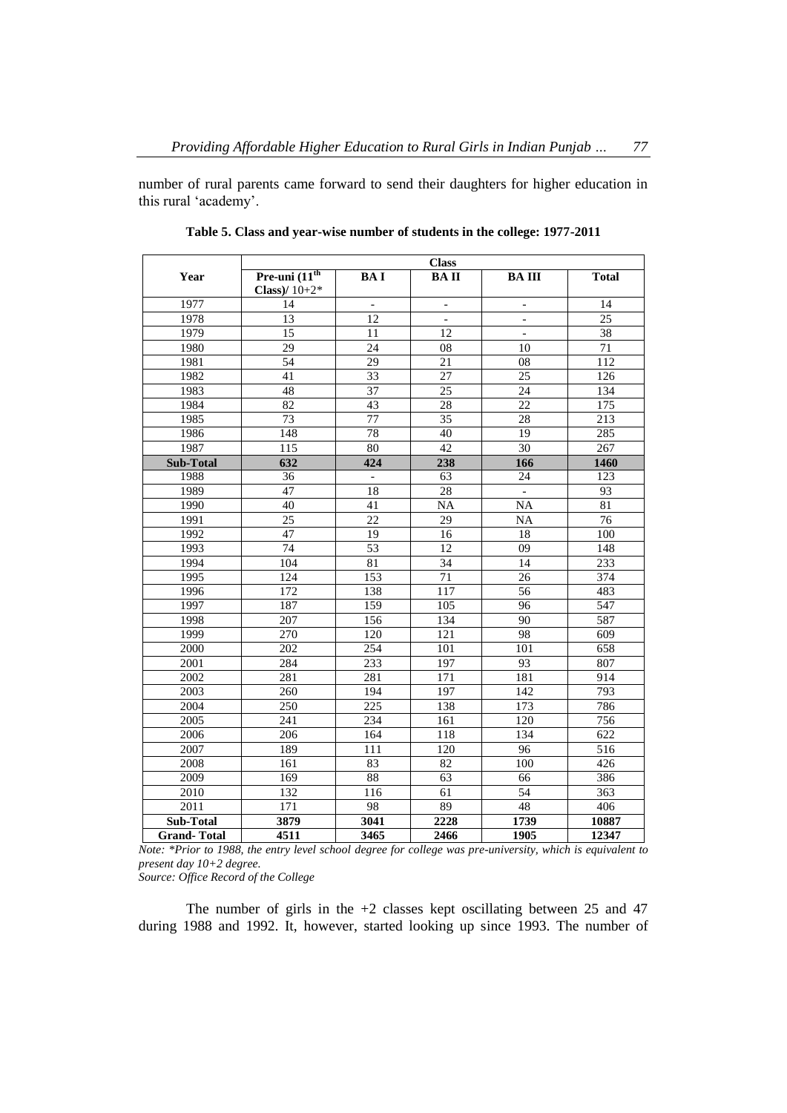number of rural parents came forward to send their daughters for higher education in this rural 'academy'.

|                    |                                    |                          | <b>Class</b>             |                          |                  |
|--------------------|------------------------------------|--------------------------|--------------------------|--------------------------|------------------|
| Year               | Pre-uni $(11th$<br>Class)/ $10+2*$ | <b>BAI</b>               | <b>BAII</b>              | <b>BAIII</b>             | <b>Total</b>     |
| 1977               | 14                                 | $\overline{\phantom{a}}$ | $\overline{\phantom{a}}$ | $\overline{\phantom{a}}$ | 14               |
| 1978               | 13                                 | 12                       | $\overline{\phantom{a}}$ | $\qquad \qquad -$        | $\overline{25}$  |
| 1979               | 15                                 | 11                       | 12                       | $\bar{\phantom{a}}$      | 38               |
| 1980               | 29                                 | 24                       | 08                       | 10                       | 71               |
| 1981               | $\overline{54}$                    | $\overline{29}$          | 21                       | 08                       | 112              |
| 1982               | 41                                 | 33                       | 27                       | $\overline{25}$          | 126              |
| 1983               | 48                                 | 37                       | 25                       | 24                       | 134              |
| 1984               | 82                                 | 43                       | 28                       | 22                       | 175              |
| 1985               | $\overline{73}$                    | 77                       | $\overline{35}$          | 28                       | 213              |
| 1986               | 148                                | 78                       | 40                       | 19                       | 285              |
| 1987               | 115                                | 80                       | $\overline{42}$          | 30                       | 267              |
| <b>Sub-Total</b>   | 632                                | 424                      | 238                      | 166                      | 1460             |
| 1988               | 36                                 | $\overline{\phantom{a}}$ | 63                       | $\overline{24}$          | $\overline{123}$ |
| 1989               | $\overline{47}$                    | 18                       | $\overline{28}$          | $\overline{\phantom{a}}$ | 93               |
| 1990               | 40                                 | 41                       | $\overline{NA}$          | $\overline{NA}$          | 81               |
| 1991               | $\overline{25}$                    | 22                       | $\overline{29}$          | NA                       | 76               |
| 1992               | 47                                 | 19                       | 16                       | 18                       | 100              |
| 1993               | 74                                 | 53                       | 12                       | 09                       | 148              |
| 1994               | 104                                | 81                       | 34                       | 14                       | $\overline{233}$ |
| 1995               | 124                                | 153                      | 71                       | 26                       | 374              |
| 1996               | 172                                | 138                      | 117                      | 56                       | 483              |
| 1997               | 187                                | 159                      | 105                      | 96                       | 547              |
| 1998               | 207                                | 156                      | 134                      | 90                       | 587              |
| 1999               | 270                                | 120                      | 121                      | 98                       | 609              |
| 2000               | 202                                | 254                      | 101                      | 101                      | 658              |
| 2001               | 284                                | 233                      | 197                      | 93                       | 807              |
| 2002               | 281                                | 281                      | $\overline{171}$         | 181                      | 914              |
| 2003               | 260                                | 194                      | 197                      | 142                      | 793              |
| 2004               | $\overline{250}$                   | 225                      | 138                      | 173                      | 786              |
| 2005               | 241                                | $\overline{234}$         | 161                      | 120                      | 756              |
| 2006               | 206                                | 164                      | 118                      | 134                      | 622              |
| 2007               | 189                                | 111                      | 120                      | 96                       | 516              |
| 2008               | 161                                | 83                       | 82                       | 100                      | 426              |
| $\frac{2009}{ }$   | 169                                | 88                       | $\overline{63}$          | 66                       | 386              |
| 2010               | $\overline{132}$                   | 116                      | 61                       | 54                       | $\overline{363}$ |
| 2011               | $\overline{171}$                   | 98                       | 89                       | 48                       | 406              |
| Sub-Total          | 3879                               | 3041                     | 2228                     | 1739                     | 10887            |
| <b>Grand-Total</b> | 4511                               | 3465                     | 2466                     | 1905                     | 12347            |

**Table 5. Class and year-wise number of students in the college: 1977-2011**

*Note: \*Prior to 1988, the entry level school degree for college was pre-university, which is equivalent to present day 10+2 degree.*

*Source: Office Record of the College*

The number of girls in the +2 classes kept oscillating between 25 and 47 during 1988 and 1992. It, however, started looking up since 1993. The number of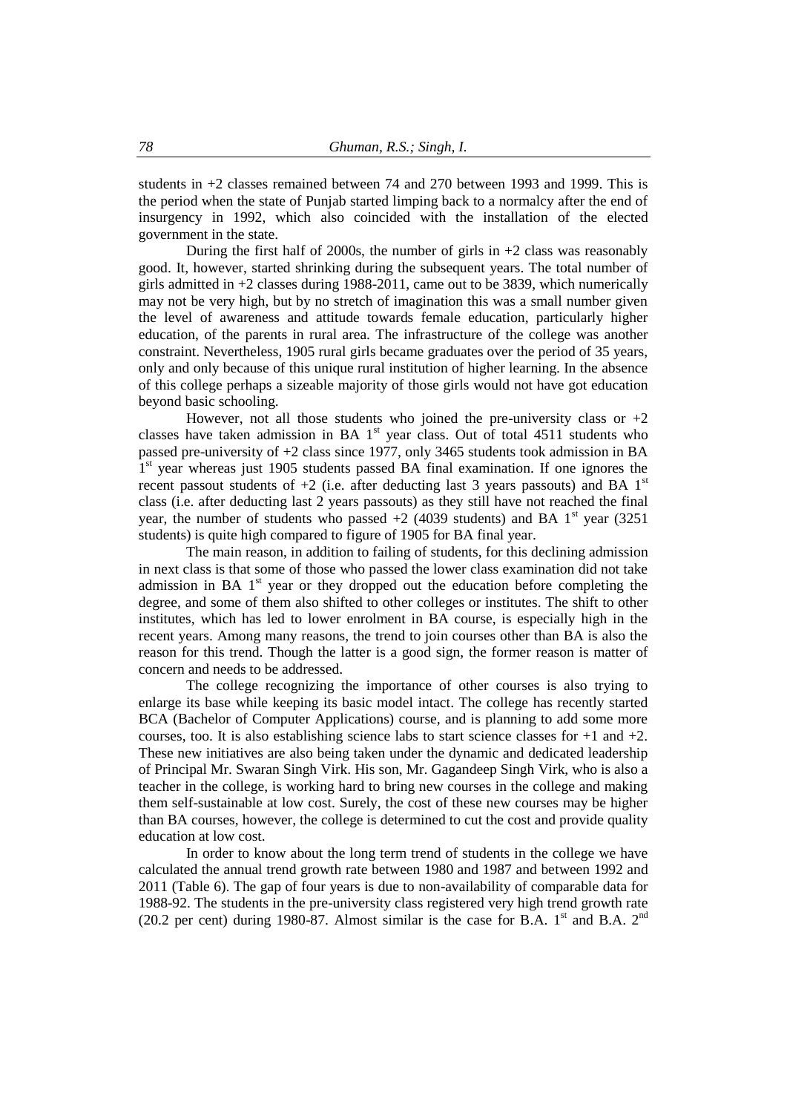students in +2 classes remained between 74 and 270 between 1993 and 1999. This is the period when the state of Punjab started limping back to a normalcy after the end of insurgency in 1992, which also coincided with the installation of the elected government in the state.

During the first half of 2000s, the number of girls in  $+2$  class was reasonably good. It, however, started shrinking during the subsequent years. The total number of girls admitted in  $+2$  classes during 1988-2011, came out to be 3839, which numerically may not be very high, but by no stretch of imagination this was a small number given the level of awareness and attitude towards female education, particularly higher education, of the parents in rural area. The infrastructure of the college was another constraint. Nevertheless, 1905 rural girls became graduates over the period of 35 years, only and only because of this unique rural institution of higher learning. In the absence of this college perhaps a sizeable majority of those girls would not have got education beyond basic schooling.

However, not all those students who joined the pre-university class or  $+2$ classes have taken admission in BA  $1<sup>st</sup>$  year class. Out of total 4511 students who passed pre-university of +2 class since 1977, only 3465 students took admission in BA 1<sup>st</sup> year whereas just 1905 students passed BA final examination. If one ignores the recent passout students of  $+2$  (i.e. after deducting last 3 years passouts) and BA 1<sup>st</sup> class (i.e. after deducting last 2 years passouts) as they still have not reached the final year, the number of students who passed  $+2$  (4039 students) and BA 1<sup>st</sup> year (3251) students) is quite high compared to figure of 1905 for BA final year.

The main reason, in addition to failing of students, for this declining admission in next class is that some of those who passed the lower class examination did not take admission in BA 1<sup>st</sup> year or they dropped out the education before completing the degree, and some of them also shifted to other colleges or institutes. The shift to other institutes, which has led to lower enrolment in BA course, is especially high in the recent years. Among many reasons, the trend to join courses other than BA is also the reason for this trend. Though the latter is a good sign, the former reason is matter of concern and needs to be addressed.

The college recognizing the importance of other courses is also trying to enlarge its base while keeping its basic model intact. The college has recently started BCA (Bachelor of Computer Applications) course, and is planning to add some more courses, too. It is also establishing science labs to start science classes for  $+1$  and  $+2$ . These new initiatives are also being taken under the dynamic and dedicated leadership of Principal Mr. Swaran Singh Virk. His son, Mr. Gagandeep Singh Virk, who is also a teacher in the college, is working hard to bring new courses in the college and making them self-sustainable at low cost. Surely, the cost of these new courses may be higher than BA courses, however, the college is determined to cut the cost and provide quality education at low cost.

In order to know about the long term trend of students in the college we have calculated the annual trend growth rate between 1980 and 1987 and between 1992 and 2011 (Table 6). The gap of four years is due to non-availability of comparable data for 1988-92. The students in the pre-university class registered very high trend growth rate (20.2 per cent) during 1980-87. Almost similar is the case for B.A. 1<sup>st</sup> and B.A.  $2<sup>nd</sup>$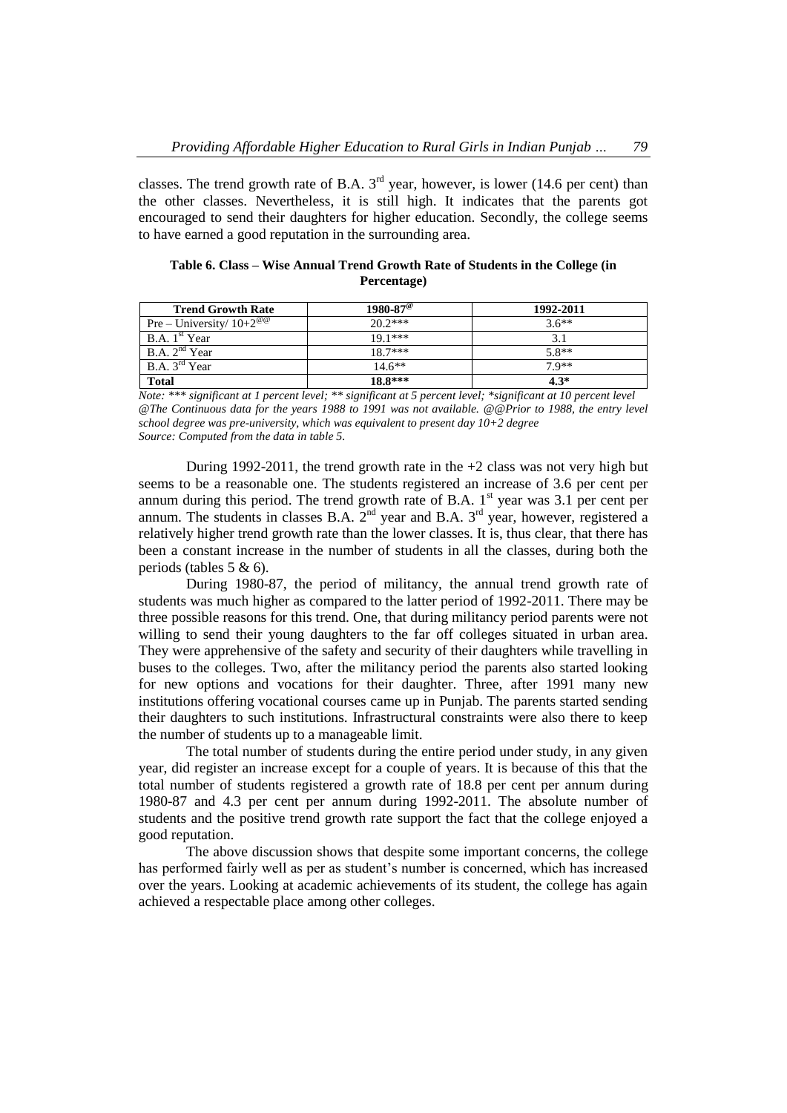classes. The trend growth rate of B.A.  $3<sup>rd</sup>$  year, however, is lower (14.6 per cent) than the other classes. Nevertheless, it is still high. It indicates that the parents got encouraged to send their daughters for higher education. Secondly, the college seems to have earned a good reputation in the surrounding area.

| <b>Trend Growth Rate</b>                | $1980 - 87^{\circ}$ | 1992-2011 |
|-----------------------------------------|---------------------|-----------|
| Pre – University/ $10+2^{\omega\omega}$ | $20.2***$           | $3.6**$   |
| B.A. 1 <sup>st</sup> Year               | $191***$            |           |
| B.A. 2 <sup>nd</sup> Year               | $187***$            | $5.8**$   |
| B.A. 3 <sup>rd</sup> Year               | $14.6**$            | $7.9**$   |
| <b>Total</b>                            | $18.8***$           | $4.3*$    |

**Table 6. Class – Wise Annual Trend Growth Rate of Students in the College (in Percentage)**

*Note: \*\*\* significant at 1 percent level; \*\* significant at 5 percent level; \*significant at 10 percent level @The Continuous data for the years 1988 to 1991 was not available. @@Prior to 1988, the entry level school degree was pre-university, which was equivalent to present day 10+2 degree Source: Computed from the data in table 5.*

During 1992-2011, the trend growth rate in the  $+2$  class was not very high but seems to be a reasonable one. The students registered an increase of 3.6 per cent per annum during this period. The trend growth rate of B.A.  $1<sup>st</sup>$  year was 3.1 per cent per annum. The students in classes B.A.  $2<sup>nd</sup>$  year and B.A.  $3<sup>rd</sup>$  year, however, registered a relatively higher trend growth rate than the lower classes. It is, thus clear, that there has been a constant increase in the number of students in all the classes, during both the periods (tables 5 & 6).

During 1980-87, the period of militancy, the annual trend growth rate of students was much higher as compared to the latter period of 1992-2011. There may be three possible reasons for this trend. One, that during militancy period parents were not willing to send their young daughters to the far off colleges situated in urban area. They were apprehensive of the safety and security of their daughters while travelling in buses to the colleges. Two, after the militancy period the parents also started looking for new options and vocations for their daughter. Three, after 1991 many new institutions offering vocational courses came up in Punjab. The parents started sending their daughters to such institutions. Infrastructural constraints were also there to keep the number of students up to a manageable limit.

The total number of students during the entire period under study, in any given year, did register an increase except for a couple of years. It is because of this that the total number of students registered a growth rate of 18.8 per cent per annum during 1980-87 and 4.3 per cent per annum during 1992-2011. The absolute number of students and the positive trend growth rate support the fact that the college enjoyed a good reputation.

The above discussion shows that despite some important concerns, the college has performed fairly well as per as student's number is concerned, which has increased over the years. Looking at academic achievements of its student, the college has again achieved a respectable place among other colleges.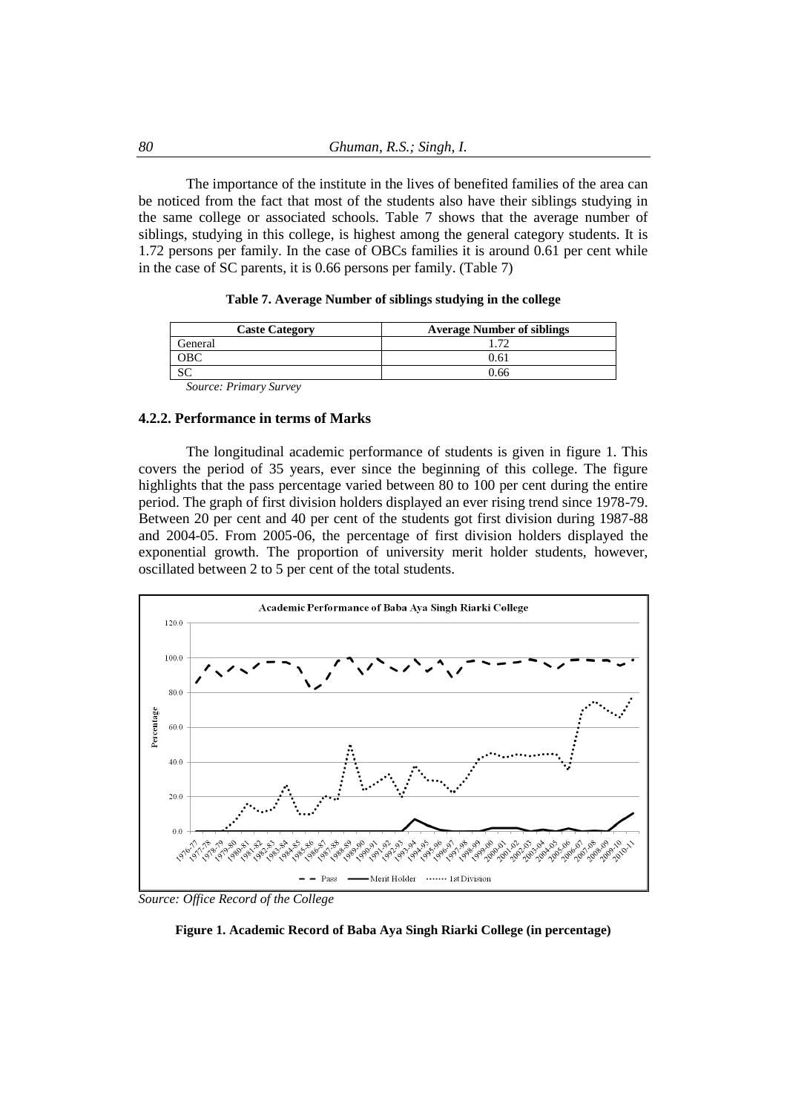The importance of the institute in the lives of benefited families of the area can be noticed from the fact that most of the students also have their siblings studying in the same college or associated schools. Table 7 shows that the average number of siblings, studying in this college, is highest among the general category students. It is 1.72 persons per family. In the case of OBCs families it is around 0.61 per cent while in the case of SC parents, it is 0.66 persons per family. (Table 7)

|  |  | Table 7. Average Number of siblings studying in the college |  |  |  |
|--|--|-------------------------------------------------------------|--|--|--|
|  |  |                                                             |  |  |  |

| <b>Caste Category</b>         | <b>Average Number of siblings</b> |
|-------------------------------|-----------------------------------|
| General                       |                                   |
| $_{\rm \scriptstyle \rm DBC}$ | 0.61                              |
| υU                            | ገ 66                              |

*Source: Primary Survey*

#### **4.2.2. Performance in terms of Marks**

The longitudinal academic performance of students is given in figure 1. This covers the period of 35 years, ever since the beginning of this college. The figure highlights that the pass percentage varied between 80 to 100 per cent during the entire period. The graph of first division holders displayed an ever rising trend since 1978-79. Between 20 per cent and 40 per cent of the students got first division during 1987-88 and 2004-05. From 2005-06, the percentage of first division holders displayed the exponential growth. The proportion of university merit holder students, however, oscillated between 2 to 5 per cent of the total students.



*Source: Office Record of the College*

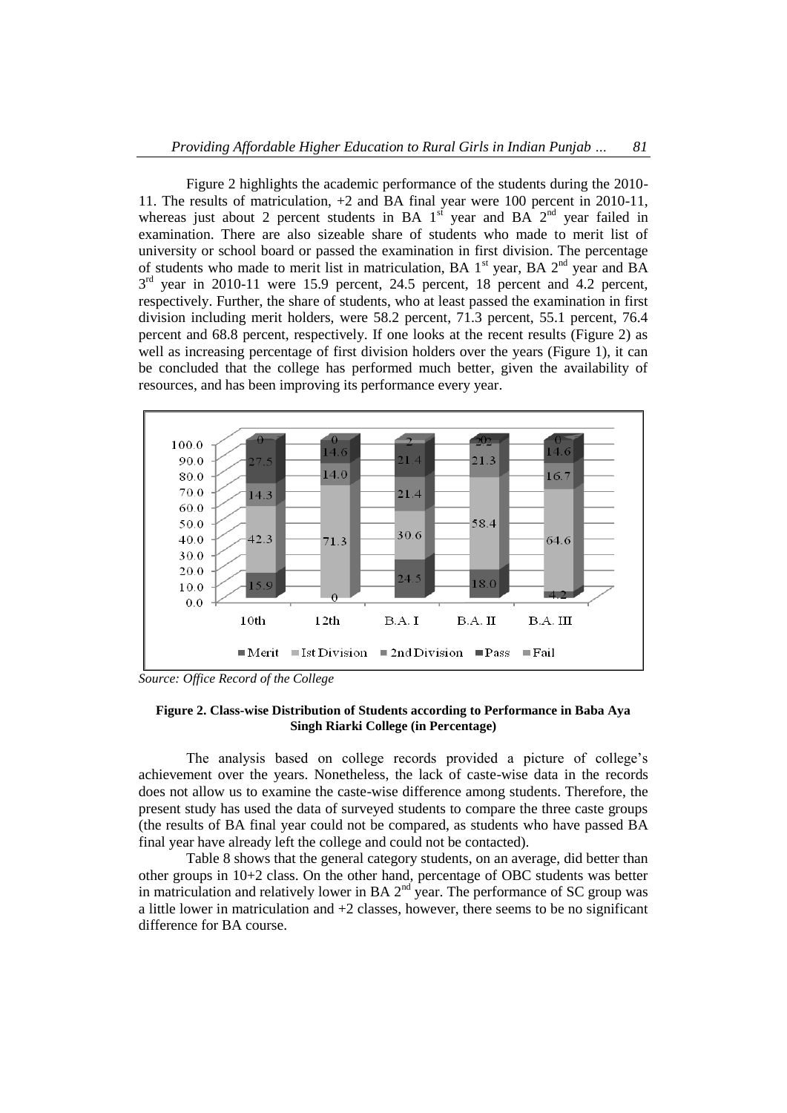Figure 2 highlights the academic performance of the students during the 2010- 11. The results of matriculation, +2 and BA final year were 100 percent in 2010-11, whereas just about 2 percent students in BA  $1<sup>st</sup>$  year and BA  $2<sup>nd</sup>$  year failed in examination. There are also sizeable share of students who made to merit list of university or school board or passed the examination in first division. The percentage of students who made to merit list in matriculation, BA  $1<sup>st</sup>$  year, BA  $2<sup>nd</sup>$  year and BA  $3<sup>rd</sup>$  year in 2010-11 were 15.9 percent, 24.5 percent, 18 percent and 4.2 percent, respectively. Further, the share of students, who at least passed the examination in first division including merit holders, were 58.2 percent, 71.3 percent, 55.1 percent, 76.4 percent and 68.8 percent, respectively. If one looks at the recent results (Figure 2) as well as increasing percentage of first division holders over the years (Figure 1), it can be concluded that the college has performed much better, given the availability of resources, and has been improving its performance every year.



*Source: Office Record of the College*

#### **Figure 2. Class-wise Distribution of Students according to Performance in Baba Aya Singh Riarki College (in Percentage)**

The analysis based on college records provided a picture of college's achievement over the years. Nonetheless, the lack of caste-wise data in the records does not allow us to examine the caste-wise difference among students. Therefore, the present study has used the data of surveyed students to compare the three caste groups (the results of BA final year could not be compared, as students who have passed BA final year have already left the college and could not be contacted).

Table 8 shows that the general category students, on an average, did better than other groups in 10+2 class. On the other hand, percentage of OBC students was better in matriculation and relatively lower in BA  $2<sup>nd</sup>$  year. The performance of SC group was a little lower in matriculation and +2 classes, however, there seems to be no significant difference for BA course.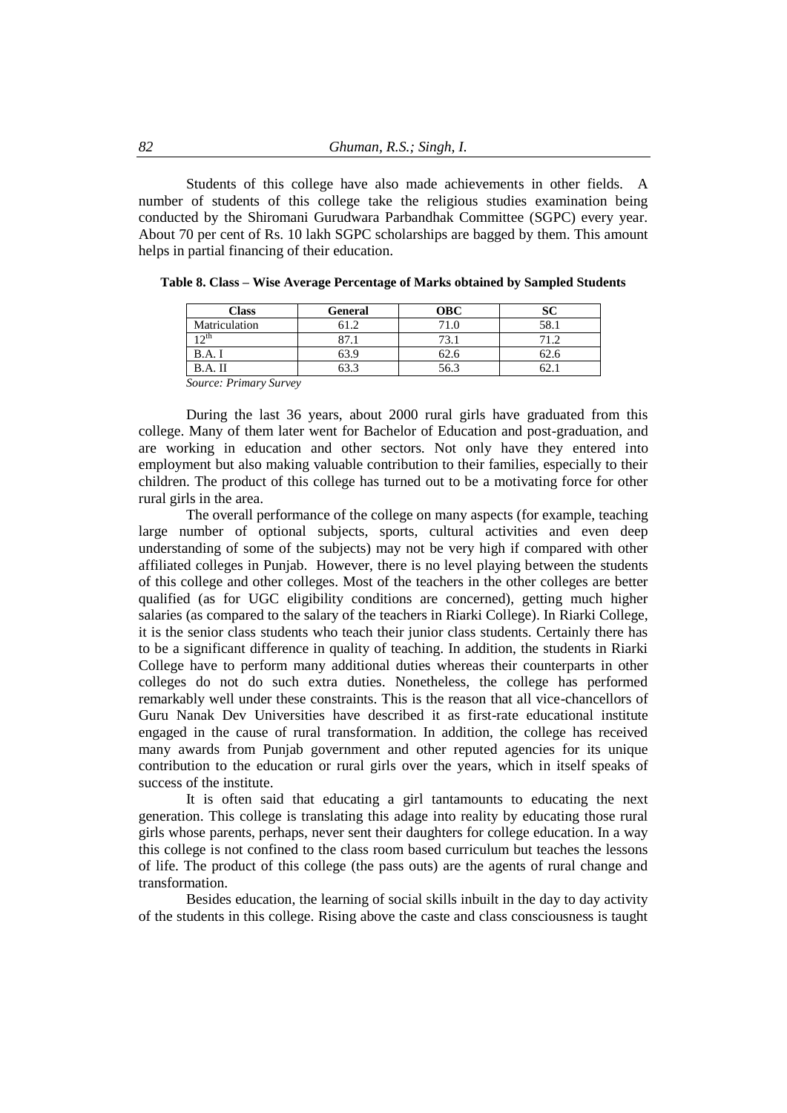Students of this college have also made achievements in other fields. A number of students of this college take the religious studies examination being conducted by the Shiromani Gurudwara Parbandhak Committee (SGPC) every year. About 70 per cent of Rs. 10 lakh SGPC scholarships are bagged by them. This amount helps in partial financing of their education.

| Class                              | <b>General</b> | <b>OBC</b> |     |
|------------------------------------|----------------|------------|-----|
| Matriculation                      |                | 71.0       | 58. |
|                                    | רה             | 73.        |     |
|                                    |                | 62.6       |     |
|                                    |                | 56.3       |     |
| $\sim$<br>$\mathbf{r}$ .<br>$\sim$ |                |            |     |

|  |  | Table 8. Class - Wise Average Percentage of Marks obtained by Sampled Students |  |
|--|--|--------------------------------------------------------------------------------|--|
|  |  |                                                                                |  |

*Source: Primary Survey*

During the last 36 years, about 2000 rural girls have graduated from this college. Many of them later went for Bachelor of Education and post-graduation, and are working in education and other sectors. Not only have they entered into employment but also making valuable contribution to their families, especially to their children. The product of this college has turned out to be a motivating force for other rural girls in the area.

The overall performance of the college on many aspects (for example, teaching large number of optional subjects, sports, cultural activities and even deep understanding of some of the subjects) may not be very high if compared with other affiliated colleges in Punjab. However, there is no level playing between the students of this college and other colleges. Most of the teachers in the other colleges are better qualified (as for UGC eligibility conditions are concerned), getting much higher salaries (as compared to the salary of the teachers in Riarki College). In Riarki College, it is the senior class students who teach their junior class students. Certainly there has to be a significant difference in quality of teaching. In addition, the students in Riarki College have to perform many additional duties whereas their counterparts in other colleges do not do such extra duties. Nonetheless, the college has performed remarkably well under these constraints. This is the reason that all vice-chancellors of Guru Nanak Dev Universities have described it as first-rate educational institute engaged in the cause of rural transformation. In addition, the college has received many awards from Punjab government and other reputed agencies for its unique contribution to the education or rural girls over the years, which in itself speaks of success of the institute.

It is often said that educating a girl tantamounts to educating the next generation. This college is translating this adage into reality by educating those rural girls whose parents, perhaps, never sent their daughters for college education. In a way this college is not confined to the class room based curriculum but teaches the lessons of life. The product of this college (the pass outs) are the agents of rural change and transformation.

Besides education, the learning of social skills inbuilt in the day to day activity of the students in this college. Rising above the caste and class consciousness is taught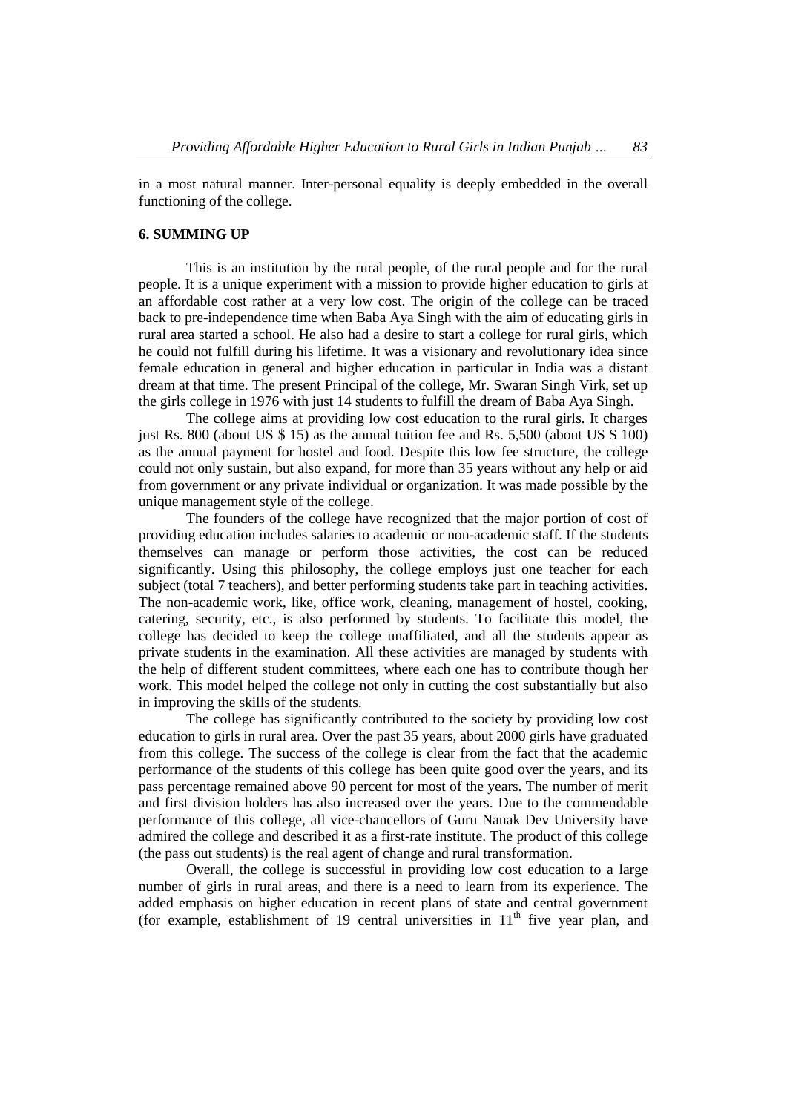in a most natural manner. Inter-personal equality is deeply embedded in the overall functioning of the college.

## **6. SUMMING UP**

This is an institution by the rural people, of the rural people and for the rural people. It is a unique experiment with a mission to provide higher education to girls at an affordable cost rather at a very low cost. The origin of the college can be traced back to pre-independence time when Baba Aya Singh with the aim of educating girls in rural area started a school. He also had a desire to start a college for rural girls, which he could not fulfill during his lifetime. It was a visionary and revolutionary idea since female education in general and higher education in particular in India was a distant dream at that time. The present Principal of the college, Mr. Swaran Singh Virk, set up the girls college in 1976 with just 14 students to fulfill the dream of Baba Aya Singh.

The college aims at providing low cost education to the rural girls. It charges just Rs. 800 (about US \$ 15) as the annual tuition fee and Rs. 5,500 (about US \$ 100) as the annual payment for hostel and food. Despite this low fee structure, the college could not only sustain, but also expand, for more than 35 years without any help or aid from government or any private individual or organization. It was made possible by the unique management style of the college.

The founders of the college have recognized that the major portion of cost of providing education includes salaries to academic or non-academic staff. If the students themselves can manage or perform those activities, the cost can be reduced significantly. Using this philosophy, the college employs just one teacher for each subject (total 7 teachers), and better performing students take part in teaching activities. The non-academic work, like, office work, cleaning, management of hostel, cooking, catering, security, etc., is also performed by students. To facilitate this model, the college has decided to keep the college unaffiliated, and all the students appear as private students in the examination. All these activities are managed by students with the help of different student committees, where each one has to contribute though her work. This model helped the college not only in cutting the cost substantially but also in improving the skills of the students.

The college has significantly contributed to the society by providing low cost education to girls in rural area. Over the past 35 years, about 2000 girls have graduated from this college. The success of the college is clear from the fact that the academic performance of the students of this college has been quite good over the years, and its pass percentage remained above 90 percent for most of the years. The number of merit and first division holders has also increased over the years. Due to the commendable performance of this college, all vice-chancellors of Guru Nanak Dev University have admired the college and described it as a first-rate institute. The product of this college (the pass out students) is the real agent of change and rural transformation.

Overall, the college is successful in providing low cost education to a large number of girls in rural areas, and there is a need to learn from its experience. The added emphasis on higher education in recent plans of state and central government (for example, establishment of 19 central universities in  $11<sup>th</sup>$  five year plan, and